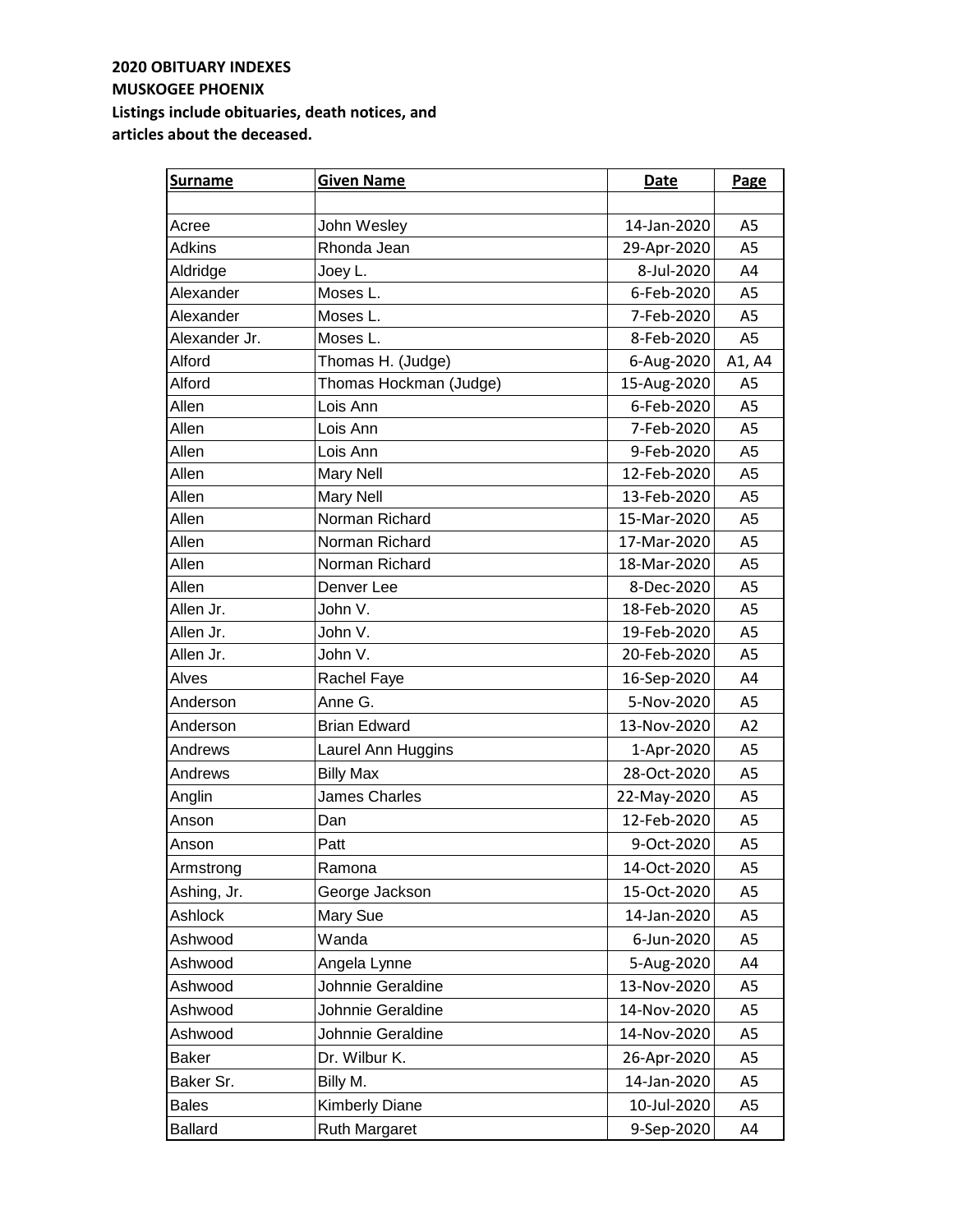| <b>Surname</b> | <b>Given Name</b>      | Date        | Page           |
|----------------|------------------------|-------------|----------------|
|                |                        |             |                |
| Acree          | John Wesley            | 14-Jan-2020 | A5             |
| Adkins         | Rhonda Jean            | 29-Apr-2020 | A <sub>5</sub> |
| Aldridge       | Joey L.                | 8-Jul-2020  | A4             |
| Alexander      | Moses L.               | 6-Feb-2020  | A <sub>5</sub> |
| Alexander      | Moses L.               | 7-Feb-2020  | A5             |
| Alexander Jr.  | Moses L.               | 8-Feb-2020  | A5             |
| Alford         | Thomas H. (Judge)      | 6-Aug-2020  | A1, A4         |
| Alford         | Thomas Hockman (Judge) | 15-Aug-2020 | A <sub>5</sub> |
| Allen          | Lois Ann               | 6-Feb-2020  | A <sub>5</sub> |
| Allen          | Lois Ann               | 7-Feb-2020  | A <sub>5</sub> |
| Allen          | Lois Ann               | 9-Feb-2020  | A <sub>5</sub> |
| Allen          | <b>Mary Nell</b>       | 12-Feb-2020 | A <sub>5</sub> |
| Allen          | <b>Mary Nell</b>       | 13-Feb-2020 | A <sub>5</sub> |
| Allen          | Norman Richard         | 15-Mar-2020 | A <sub>5</sub> |
| Allen          | Norman Richard         | 17-Mar-2020 | A <sub>5</sub> |
| Allen          | Norman Richard         | 18-Mar-2020 | A <sub>5</sub> |
| Allen          | Denver Lee             | 8-Dec-2020  | A5             |
| Allen Jr.      | John V.                | 18-Feb-2020 | A5             |
| Allen Jr.      | John V.                | 19-Feb-2020 | A <sub>5</sub> |
| Allen Jr.      | John V.                | 20-Feb-2020 | A5             |
| Alves          | Rachel Faye            | 16-Sep-2020 | A4             |
| Anderson       | Anne G.                | 5-Nov-2020  | A5             |
| Anderson       | <b>Brian Edward</b>    | 13-Nov-2020 | A2             |
| Andrews        | Laurel Ann Huggins     | 1-Apr-2020  | A <sub>5</sub> |
| Andrews        | <b>Billy Max</b>       | 28-Oct-2020 | A <sub>5</sub> |
| Anglin         | <b>James Charles</b>   | 22-May-2020 | A <sub>5</sub> |
| Anson          | Dan                    | 12-Feb-2020 | A <sub>5</sub> |
| Anson          | Patt                   | 9-Oct-2020  | A <sub>5</sub> |
| Armstrong      | Ramona                 | 14-Oct-2020 | A5             |
| Ashing, Jr.    | George Jackson         | 15-Oct-2020 | A5             |
| Ashlock        | Mary Sue               | 14-Jan-2020 | A5             |
| Ashwood        | Wanda                  | 6-Jun-2020  | A5             |
| Ashwood        | Angela Lynne           | 5-Aug-2020  | A4             |
| Ashwood        | Johnnie Geraldine      | 13-Nov-2020 | A5             |
| Ashwood        | Johnnie Geraldine      | 14-Nov-2020 | A5             |
| Ashwood        | Johnnie Geraldine      | 14-Nov-2020 | A5             |
| <b>Baker</b>   | Dr. Wilbur K.          | 26-Apr-2020 | A5             |
| Baker Sr.      | Billy M.               | 14-Jan-2020 | A <sub>5</sub> |
| <b>Bales</b>   | <b>Kimberly Diane</b>  | 10-Jul-2020 | A <sub>5</sub> |
| <b>Ballard</b> | Ruth Margaret          | 9-Sep-2020  | A4             |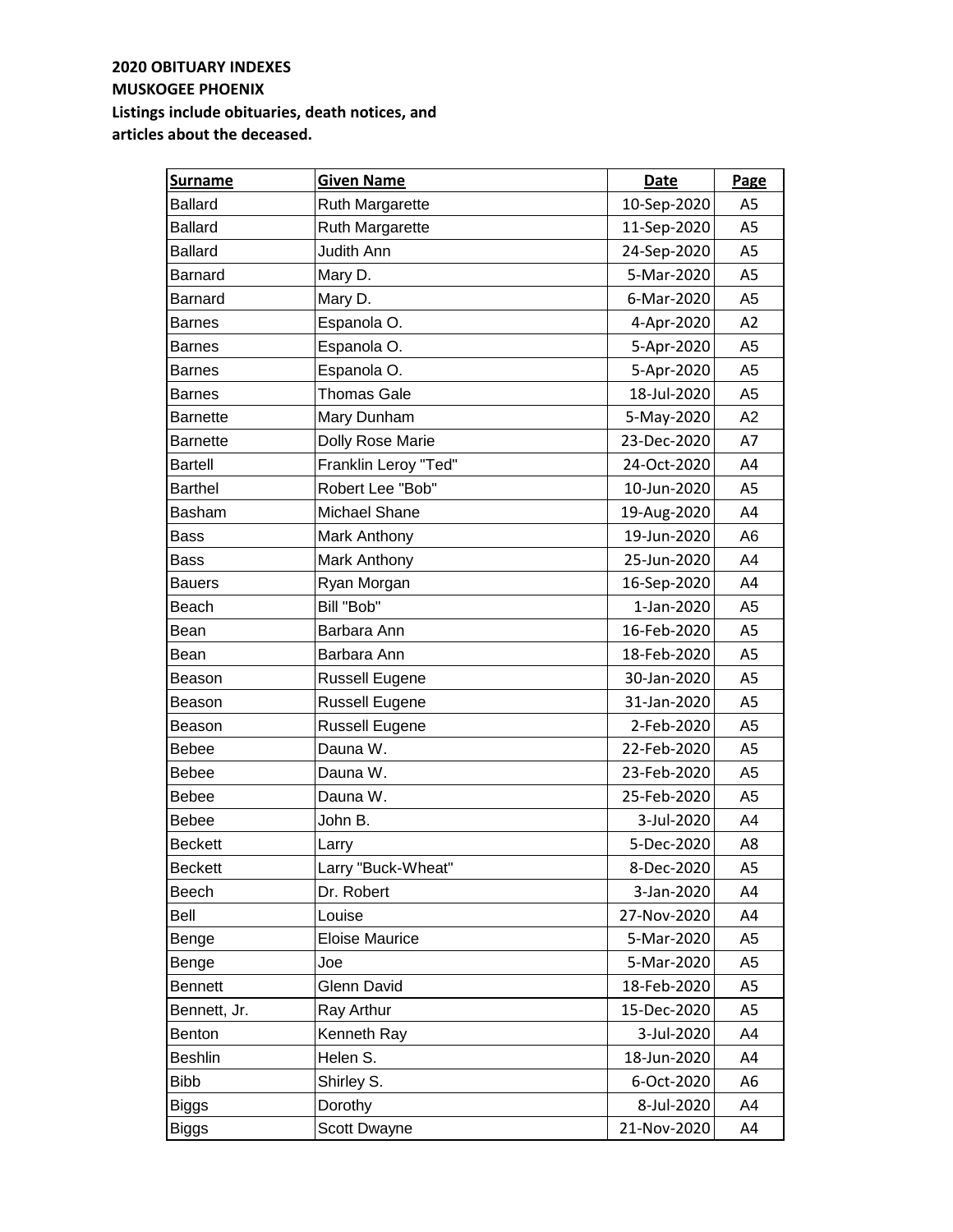| <b>Surname</b>  | <b>Given Name</b>      | <b>Date</b> | Page           |
|-----------------|------------------------|-------------|----------------|
| <b>Ballard</b>  | <b>Ruth Margarette</b> | 10-Sep-2020 | A <sub>5</sub> |
| <b>Ballard</b>  | Ruth Margarette        | 11-Sep-2020 | A <sub>5</sub> |
| <b>Ballard</b>  | Judith Ann             | 24-Sep-2020 | A <sub>5</sub> |
| <b>Barnard</b>  | Mary D.                | 5-Mar-2020  | A5             |
| <b>Barnard</b>  | Mary D.                | 6-Mar-2020  | A <sub>5</sub> |
| <b>Barnes</b>   | Espanola O.            | 4-Apr-2020  | A2             |
| <b>Barnes</b>   | Espanola O.            | 5-Apr-2020  | A <sub>5</sub> |
| <b>Barnes</b>   | Espanola O.            | 5-Apr-2020  | A <sub>5</sub> |
| <b>Barnes</b>   | <b>Thomas Gale</b>     | 18-Jul-2020 | A <sub>5</sub> |
| <b>Barnette</b> | Mary Dunham            | 5-May-2020  | A2             |
| <b>Barnette</b> | Dolly Rose Marie       | 23-Dec-2020 | A7             |
| <b>Bartell</b>  | Franklin Leroy "Ted"   | 24-Oct-2020 | A4             |
| <b>Barthel</b>  | Robert Lee "Bob"       | 10-Jun-2020 | A <sub>5</sub> |
| <b>Basham</b>   | Michael Shane          | 19-Aug-2020 | A4             |
| <b>Bass</b>     | Mark Anthony           | 19-Jun-2020 | A6             |
| <b>Bass</b>     | Mark Anthony           | 25-Jun-2020 | A4             |
| <b>Bauers</b>   | Ryan Morgan            | 16-Sep-2020 | A4             |
| Beach           | Bill "Bob"             | 1-Jan-2020  | A5             |
| Bean            | Barbara Ann            | 16-Feb-2020 | A5             |
| Bean            | Barbara Ann            | 18-Feb-2020 | A5             |
| Beason          | Russell Eugene         | 30-Jan-2020 | A5             |
| Beason          | <b>Russell Eugene</b>  | 31-Jan-2020 | A5             |
| Beason          | Russell Eugene         | 2-Feb-2020  | A <sub>5</sub> |
| <b>Bebee</b>    | Dauna W.               | 22-Feb-2020 | A <sub>5</sub> |
| <b>Bebee</b>    | Dauna W.               | 23-Feb-2020 | A <sub>5</sub> |
| <b>Bebee</b>    | Dauna W.               | 25-Feb-2020 | A <sub>5</sub> |
| <b>Bebee</b>    | John B.                | 3-Jul-2020  | A4             |
| <b>Beckett</b>  | Larry                  | 5-Dec-2020  | A8             |
| <b>Beckett</b>  | Larry "Buck-Wheat"     | 8-Dec-2020  | A5             |
| Beech           | Dr. Robert             | 3-Jan-2020  | A4             |
| Bell            | Louise                 | 27-Nov-2020 | A4             |
| Benge           | <b>Eloise Maurice</b>  | 5-Mar-2020  | A5             |
| Benge           | Joe                    | 5-Mar-2020  | A <sub>5</sub> |
| <b>Bennett</b>  | <b>Glenn David</b>     | 18-Feb-2020 | A5             |
| Bennett, Jr.    | Ray Arthur             | 15-Dec-2020 | A5             |
| Benton          | Kenneth Ray            | 3-Jul-2020  | A4             |
| <b>Beshlin</b>  | Helen S.               | 18-Jun-2020 | A4             |
| <b>Bibb</b>     | Shirley S.             | 6-Oct-2020  | A6             |
| Biggs           | Dorothy                | 8-Jul-2020  | A4             |
| <b>Biggs</b>    | Scott Dwayne           | 21-Nov-2020 | A4             |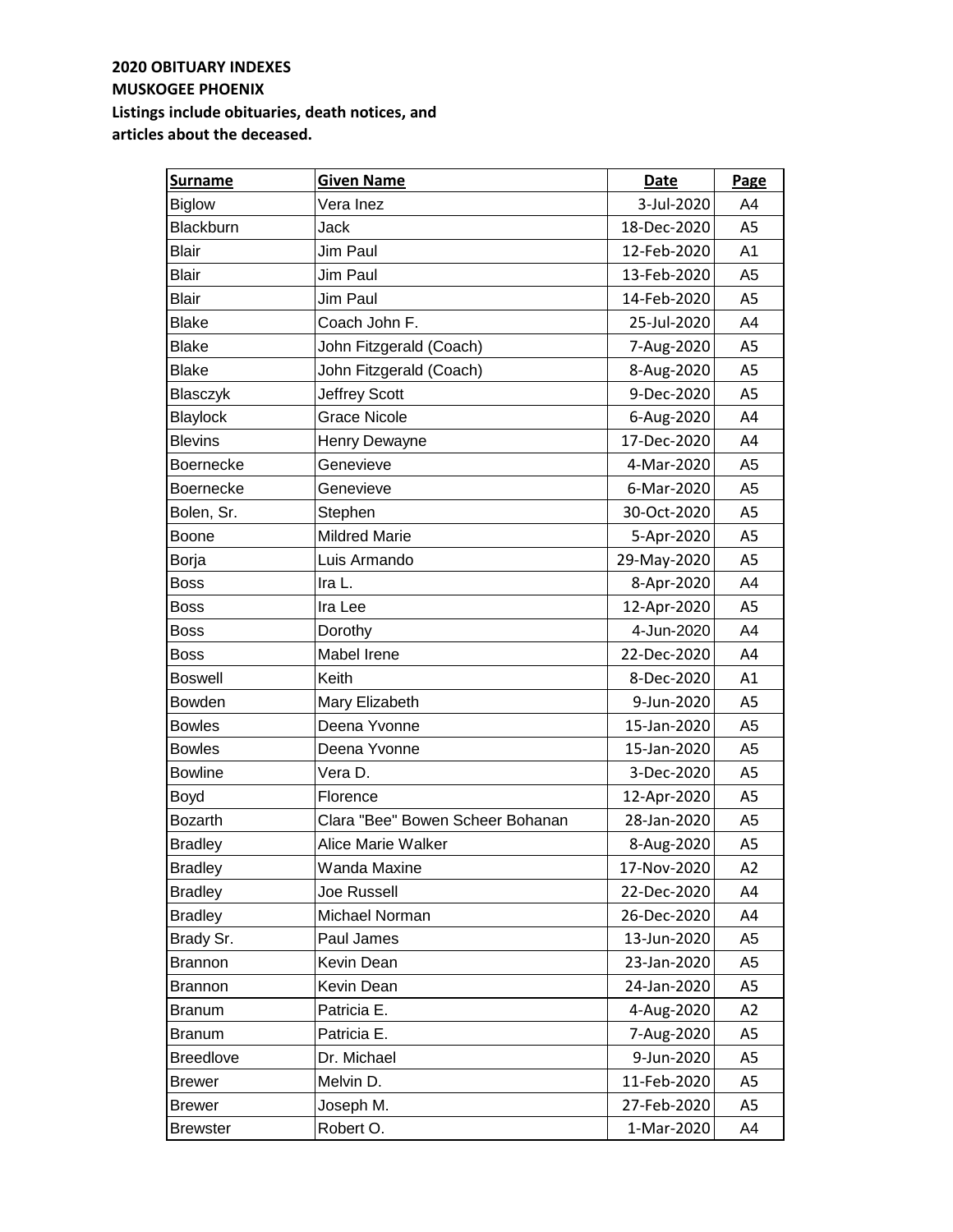| <b>Surname</b>   | <b>Given Name</b>                | <b>Date</b> | Page           |
|------------------|----------------------------------|-------------|----------------|
| <b>Biglow</b>    | Vera Inez                        | 3-Jul-2020  | A4             |
| Blackburn        | <b>Jack</b>                      | 18-Dec-2020 | A <sub>5</sub> |
| <b>Blair</b>     | Jim Paul                         | 12-Feb-2020 | A <sub>1</sub> |
| <b>Blair</b>     | Jim Paul                         | 13-Feb-2020 | A <sub>5</sub> |
| <b>Blair</b>     | Jim Paul                         | 14-Feb-2020 | A5             |
| <b>Blake</b>     | Coach John F.                    | 25-Jul-2020 | A4             |
| <b>Blake</b>     | John Fitzgerald (Coach)          | 7-Aug-2020  | A <sub>5</sub> |
| <b>Blake</b>     | John Fitzgerald (Coach)          | 8-Aug-2020  | A5             |
| Blasczyk         | <b>Jeffrey Scott</b>             | 9-Dec-2020  | A5             |
| Blaylock         | <b>Grace Nicole</b>              | 6-Aug-2020  | A4             |
| <b>Blevins</b>   | Henry Dewayne                    | 17-Dec-2020 | A4             |
| Boernecke        | Genevieve                        | 4-Mar-2020  | A <sub>5</sub> |
| <b>Boernecke</b> | Genevieve                        | 6-Mar-2020  | A <sub>5</sub> |
| Bolen, Sr.       | Stephen                          | 30-Oct-2020 | A <sub>5</sub> |
| Boone            | <b>Mildred Marie</b>             | 5-Apr-2020  | A <sub>5</sub> |
| Borja            | Luis Armando                     | 29-May-2020 | A <sub>5</sub> |
| <b>Boss</b>      | Ira L.                           | 8-Apr-2020  | A4             |
| <b>Boss</b>      | Ira Lee                          | 12-Apr-2020 | A5             |
| <b>Boss</b>      | Dorothy                          | 4-Jun-2020  | A4             |
| <b>Boss</b>      | Mabel Irene                      | 22-Dec-2020 | A4             |
| <b>Boswell</b>   | Keith                            | 8-Dec-2020  | A1             |
| <b>Bowden</b>    | Mary Elizabeth                   | 9-Jun-2020  | A <sub>5</sub> |
| <b>Bowles</b>    | Deena Yvonne                     | 15-Jan-2020 | A <sub>5</sub> |
| <b>Bowles</b>    | Deena Yvonne                     | 15-Jan-2020 | A <sub>5</sub> |
| <b>Bowline</b>   | Vera D.                          | 3-Dec-2020  | A <sub>5</sub> |
| Boyd             | Florence                         | 12-Apr-2020 | A <sub>5</sub> |
| <b>Bozarth</b>   | Clara "Bee" Bowen Scheer Bohanan | 28-Jan-2020 | A <sub>5</sub> |
| <b>Bradley</b>   | <b>Alice Marie Walker</b>        | 8-Aug-2020  | A5             |
| <b>Bradley</b>   | Wanda Maxine                     | 17-Nov-2020 | A2             |
| <b>Bradley</b>   | Joe Russell                      | 22-Dec-2020 | A4             |
| <b>Bradley</b>   | Michael Norman                   | 26-Dec-2020 | A4             |
| Brady Sr.        | Paul James                       | 13-Jun-2020 | A5             |
| <b>Brannon</b>   | Kevin Dean                       | 23-Jan-2020 | A5             |
| <b>Brannon</b>   | Kevin Dean                       | 24-Jan-2020 | A5             |
| <b>Branum</b>    | Patricia E.                      | 4-Aug-2020  | A <sub>2</sub> |
| <b>Branum</b>    | Patricia E.                      | 7-Aug-2020  | A <sub>5</sub> |
| <b>Breedlove</b> | Dr. Michael                      | 9-Jun-2020  | A <sub>5</sub> |
| <b>Brewer</b>    | Melvin D.                        | 11-Feb-2020 | A <sub>5</sub> |
| <b>Brewer</b>    | Joseph M.                        | 27-Feb-2020 | A5             |
| <b>Brewster</b>  | Robert O.                        | 1-Mar-2020  | A4             |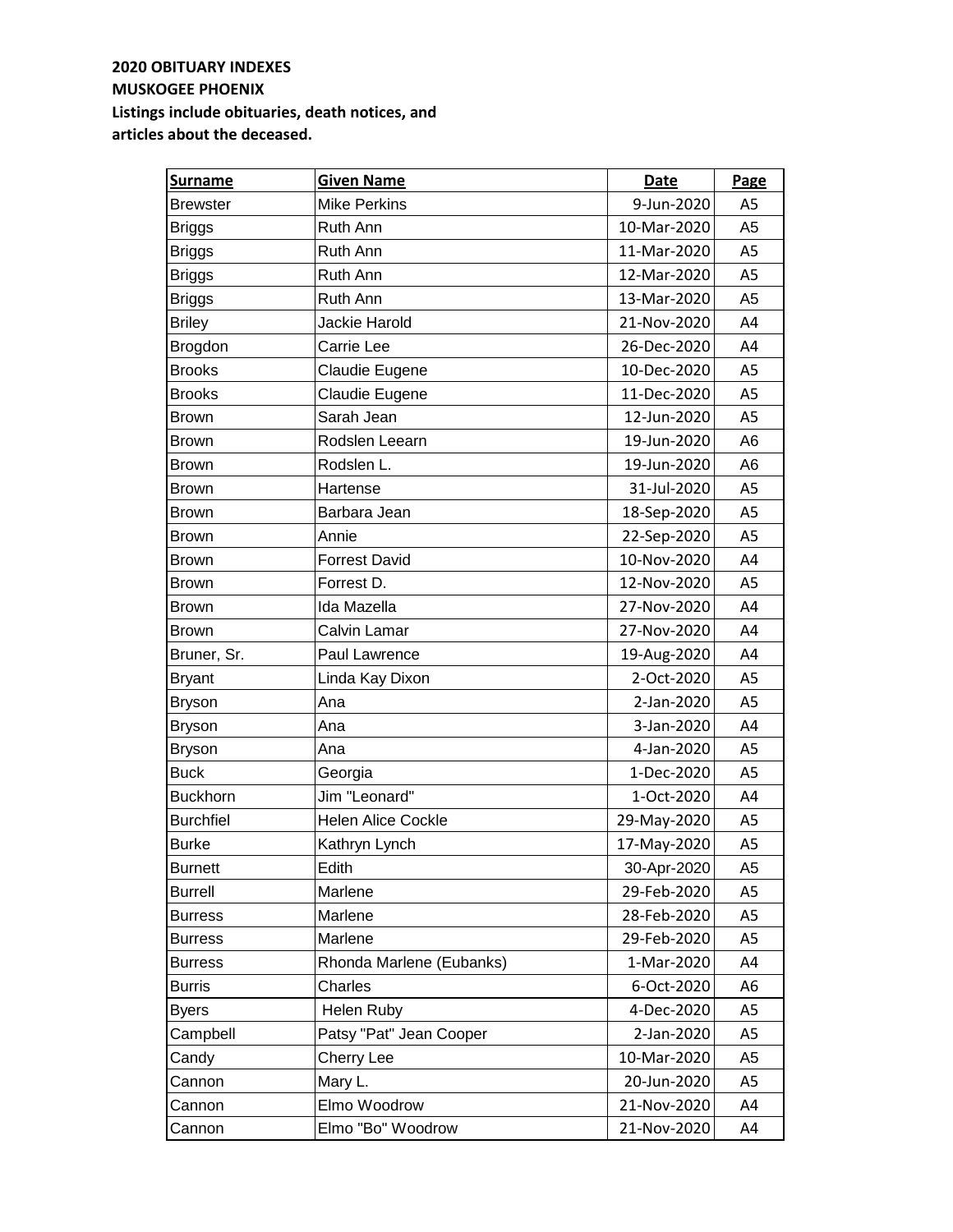| <b>Surname</b>   | <b>Given Name</b>         | <b>Date</b> | Page           |
|------------------|---------------------------|-------------|----------------|
| <b>Brewster</b>  | <b>Mike Perkins</b>       | 9-Jun-2020  | A <sub>5</sub> |
| <b>Briggs</b>    | Ruth Ann                  | 10-Mar-2020 | A <sub>5</sub> |
| <b>Briggs</b>    | Ruth Ann                  | 11-Mar-2020 | A5             |
| <b>Briggs</b>    | Ruth Ann                  | 12-Mar-2020 | A5             |
| <b>Briggs</b>    | Ruth Ann                  | 13-Mar-2020 | A <sub>5</sub> |
| <b>Briley</b>    | Jackie Harold             | 21-Nov-2020 | A4             |
| Brogdon          | Carrie Lee                | 26-Dec-2020 | A4             |
| <b>Brooks</b>    | Claudie Eugene            | 10-Dec-2020 | A5             |
| <b>Brooks</b>    | Claudie Eugene            | 11-Dec-2020 | A5             |
| <b>Brown</b>     | Sarah Jean                | 12-Jun-2020 | A <sub>5</sub> |
| <b>Brown</b>     | Rodslen Leearn            | 19-Jun-2020 | A <sub>6</sub> |
| <b>Brown</b>     | Rodslen L.                | 19-Jun-2020 | A <sub>6</sub> |
| <b>Brown</b>     | Hartense                  | 31-Jul-2020 | A <sub>5</sub> |
| <b>Brown</b>     | Barbara Jean              | 18-Sep-2020 | A <sub>5</sub> |
| <b>Brown</b>     | Annie                     | 22-Sep-2020 | A <sub>5</sub> |
| <b>Brown</b>     | <b>Forrest David</b>      | 10-Nov-2020 | A4             |
| <b>Brown</b>     | Forrest D.                | 12-Nov-2020 | A5             |
| <b>Brown</b>     | Ida Mazella               | 27-Nov-2020 | A4             |
| <b>Brown</b>     | Calvin Lamar              | 27-Nov-2020 | A4             |
| Bruner, Sr.      | Paul Lawrence             | 19-Aug-2020 | A4             |
| <b>Bryant</b>    | Linda Kay Dixon           | 2-Oct-2020  | A5             |
| <b>Bryson</b>    | Ana                       | 2-Jan-2020  | A <sub>5</sub> |
| <b>Bryson</b>    | Ana                       | 3-Jan-2020  | A4             |
| <b>Bryson</b>    | Ana                       | 4-Jan-2020  | A <sub>5</sub> |
| <b>Buck</b>      | Georgia                   | 1-Dec-2020  | A <sub>5</sub> |
| <b>Buckhorn</b>  | Jim "Leonard"             | 1-Oct-2020  | A4             |
| <b>Burchfiel</b> | <b>Helen Alice Cockle</b> | 29-May-2020 | A <sub>5</sub> |
| <b>Burke</b>     | Kathryn Lynch             | 17-May-2020 | A5             |
| <b>Burnett</b>   | Edith                     | 30-Apr-2020 | A <sub>5</sub> |
| <b>Burrell</b>   | Marlene                   | 29-Feb-2020 | A5             |
| <b>Burress</b>   | Marlene                   | 28-Feb-2020 | A5             |
| <b>Burress</b>   | Marlene                   | 29-Feb-2020 | A5             |
| <b>Burress</b>   | Rhonda Marlene (Eubanks)  | 1-Mar-2020  | A4             |
| <b>Burris</b>    | Charles                   | 6-Oct-2020  | A6             |
| <b>Byers</b>     | Helen Ruby                | 4-Dec-2020  | A5             |
| Campbell         | Patsy "Pat" Jean Cooper   | 2-Jan-2020  | A <sub>5</sub> |
| Candy            | Cherry Lee                | 10-Mar-2020 | A <sub>5</sub> |
| Cannon           | Mary L.                   | 20-Jun-2020 | A <sub>5</sub> |
| Cannon           | Elmo Woodrow              | 21-Nov-2020 | A4             |
| Cannon           | Elmo "Bo" Woodrow         | 21-Nov-2020 | A4             |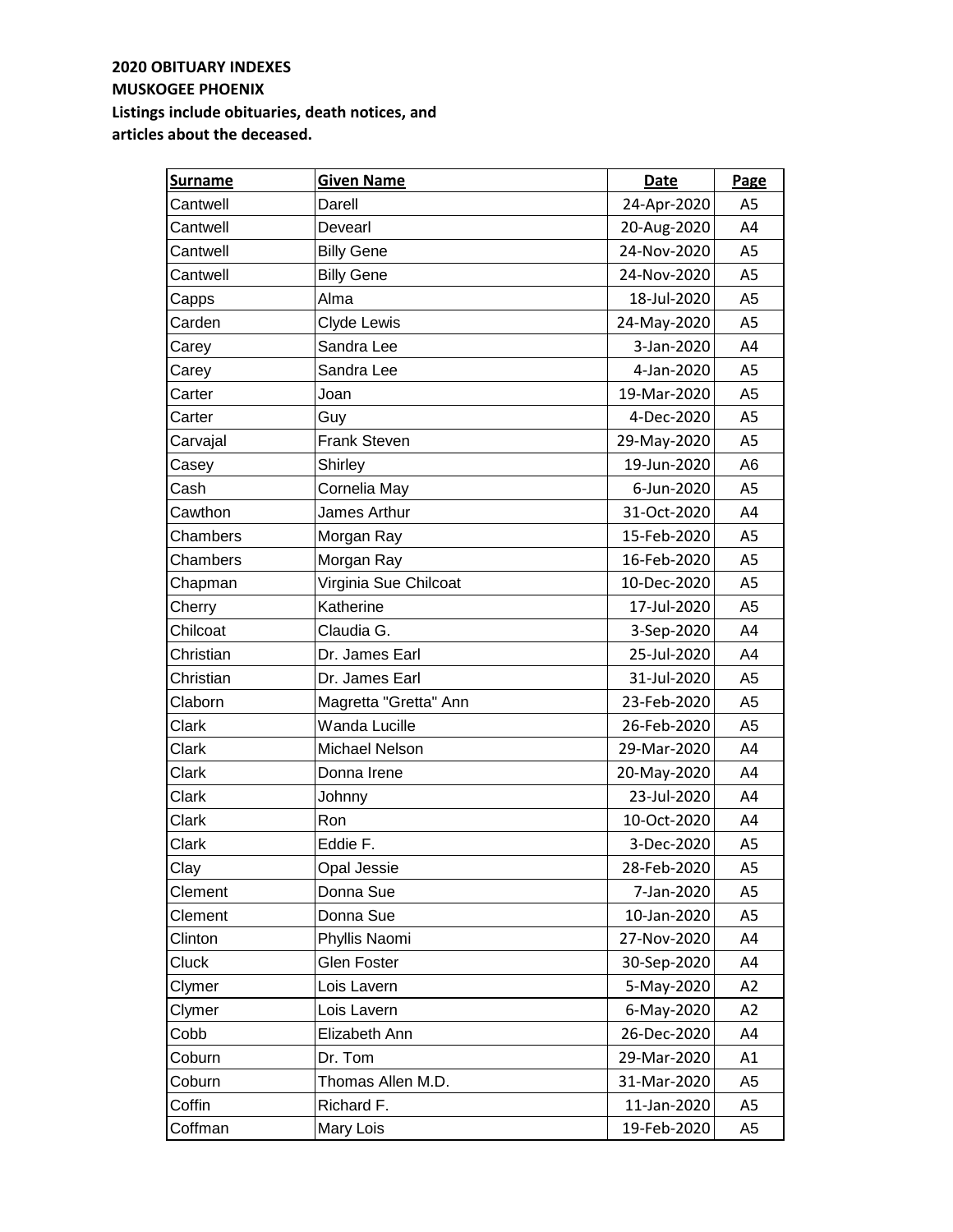| <b>Surname</b> | <b>Given Name</b>     | Date        | Page           |
|----------------|-----------------------|-------------|----------------|
| Cantwell       | Darell                | 24-Apr-2020 | A <sub>5</sub> |
| Cantwell       | Devearl               | 20-Aug-2020 | A4             |
| Cantwell       | <b>Billy Gene</b>     | 24-Nov-2020 | A <sub>5</sub> |
| Cantwell       | <b>Billy Gene</b>     | 24-Nov-2020 | A5             |
| Capps          | Alma                  | 18-Jul-2020 | A5             |
| Carden         | Clyde Lewis           | 24-May-2020 | A5             |
| Carey          | Sandra Lee            | 3-Jan-2020  | A4             |
| Carey          | Sandra Lee            | 4-Jan-2020  | A5             |
| Carter         | Joan                  | 19-Mar-2020 | A <sub>5</sub> |
| Carter         | Guy                   | 4-Dec-2020  | A <sub>5</sub> |
| Carvajal       | <b>Frank Steven</b>   | 29-May-2020 | A <sub>5</sub> |
| Casey          | Shirley               | 19-Jun-2020 | A <sub>6</sub> |
| Cash           | Cornelia May          | 6-Jun-2020  | A <sub>5</sub> |
| Cawthon        | James Arthur          | 31-Oct-2020 | A4             |
| Chambers       | Morgan Ray            | 15-Feb-2020 | A <sub>5</sub> |
| Chambers       | Morgan Ray            | 16-Feb-2020 | A <sub>5</sub> |
| Chapman        | Virginia Sue Chilcoat | 10-Dec-2020 | A5             |
| Cherry         | Katherine             | 17-Jul-2020 | A <sub>5</sub> |
| Chilcoat       | Claudia G.            | 3-Sep-2020  | A4             |
| Christian      | Dr. James Earl        | 25-Jul-2020 | A4             |
| Christian      | Dr. James Earl        | 31-Jul-2020 | A <sub>5</sub> |
| Claborn        | Magretta "Gretta" Ann | 23-Feb-2020 | A <sub>5</sub> |
| Clark          | Wanda Lucille         | 26-Feb-2020 | A <sub>5</sub> |
| Clark          | Michael Nelson        | 29-Mar-2020 | A4             |
| Clark          | Donna Irene           | 20-May-2020 | A4             |
| Clark          | Johnny                | 23-Jul-2020 | A4             |
| Clark          | Ron                   | 10-Oct-2020 | A4             |
| Clark          | Eddie F.              | 3-Dec-2020  | A5             |
| Clay           | Opal Jessie           | 28-Feb-2020 | A5             |
| Clement        | Donna Sue             | 7-Jan-2020  | A5             |
| Clement        | Donna Sue             | 10-Jan-2020 | A5             |
| Clinton        | Phyllis Naomi         | 27-Nov-2020 | A4             |
| Cluck          | <b>Glen Foster</b>    | 30-Sep-2020 | A4             |
| Clymer         | Lois Lavern           | 5-May-2020  | A <sub>2</sub> |
| Clymer         | Lois Lavern           | 6-May-2020  | A <sub>2</sub> |
| Cobb           | Elizabeth Ann         | 26-Dec-2020 | A4             |
| Coburn         | Dr. Tom               | 29-Mar-2020 | A1             |
| Coburn         | Thomas Allen M.D.     | 31-Mar-2020 | A <sub>5</sub> |
| Coffin         | Richard F.            | 11-Jan-2020 | A5             |
| Coffman        | Mary Lois             | 19-Feb-2020 | A5             |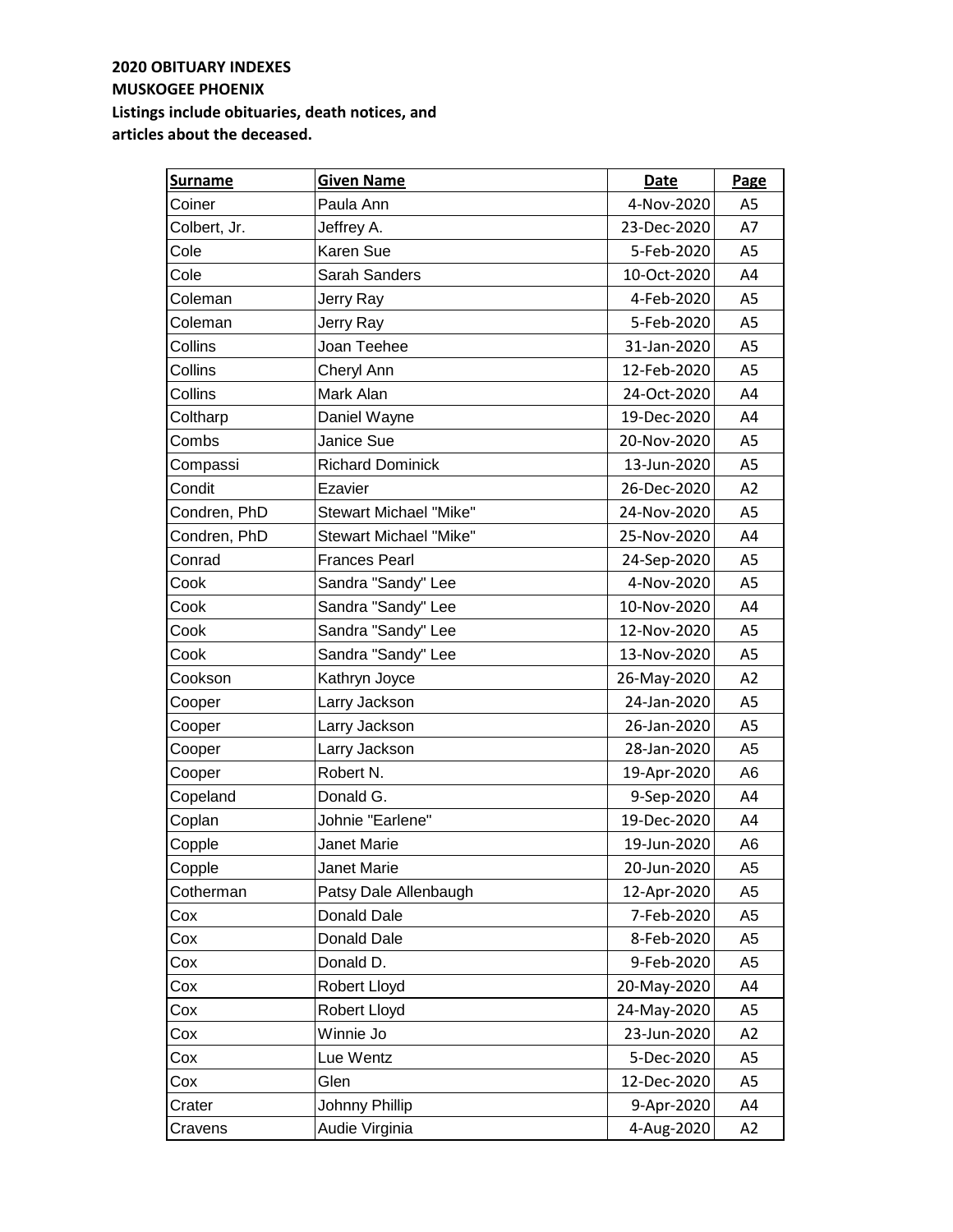| <b>Surname</b> | <b>Given Name</b>             | <b>Date</b> | <b>Page</b>    |
|----------------|-------------------------------|-------------|----------------|
| Coiner         | Paula Ann                     | 4-Nov-2020  | A <sub>5</sub> |
| Colbert, Jr.   | Jeffrey A.                    | 23-Dec-2020 | A7             |
| Cole           | Karen Sue                     | 5-Feb-2020  | A5             |
| Cole           | Sarah Sanders                 | 10-Oct-2020 | A4             |
| Coleman        | Jerry Ray                     | 4-Feb-2020  | A5             |
| Coleman        | Jerry Ray                     | 5-Feb-2020  | A5             |
| Collins        | Joan Teehee                   | 31-Jan-2020 | A <sub>5</sub> |
| Collins        | Cheryl Ann                    | 12-Feb-2020 | A5             |
| Collins        | Mark Alan                     | 24-Oct-2020 | A4             |
| Coltharp       | Daniel Wayne                  | 19-Dec-2020 | A4             |
| Combs          | Janice Sue                    | 20-Nov-2020 | A <sub>5</sub> |
| Compassi       | <b>Richard Dominick</b>       | 13-Jun-2020 | A <sub>5</sub> |
| Condit         | Ezavier                       | 26-Dec-2020 | A2             |
| Condren, PhD   | <b>Stewart Michael "Mike"</b> | 24-Nov-2020 | A <sub>5</sub> |
| Condren, PhD   | <b>Stewart Michael "Mike"</b> | 25-Nov-2020 | A4             |
| Conrad         | <b>Frances Pearl</b>          | 24-Sep-2020 | A5             |
| Cook           | Sandra "Sandy" Lee            | 4-Nov-2020  | A5             |
| Cook           | Sandra "Sandy" Lee            | 10-Nov-2020 | A4             |
| Cook           | Sandra "Sandy" Lee            | 12-Nov-2020 | A <sub>5</sub> |
| Cook           | Sandra "Sandy" Lee            | 13-Nov-2020 | A <sub>5</sub> |
| Cookson        | Kathryn Joyce                 | 26-May-2020 | A2             |
| Cooper         | Larry Jackson                 | 24-Jan-2020 | A <sub>5</sub> |
| Cooper         | Larry Jackson                 | 26-Jan-2020 | A <sub>5</sub> |
| Cooper         | Larry Jackson                 | 28-Jan-2020 | A <sub>5</sub> |
| Cooper         | Robert N.                     | 19-Apr-2020 | A6             |
| Copeland       | Donald G.                     | 9-Sep-2020  | A4             |
| Coplan         | Johnie "Earlene"              | 19-Dec-2020 | A4             |
| Copple         | Janet Marie                   | 19-Jun-2020 | A6             |
| Copple         | Janet Marie                   | 20-Jun-2020 | A <sub>5</sub> |
| Cotherman      | Patsy Dale Allenbaugh         | 12-Apr-2020 | A5             |
| Cox            | Donald Dale                   | 7-Feb-2020  | A5             |
| Cox            | Donald Dale                   | 8-Feb-2020  | A5             |
| Cox            | Donald D.                     | 9-Feb-2020  | A5             |
| Cox            | Robert Lloyd                  | 20-May-2020 | A4             |
| Cox            | Robert Lloyd                  | 24-May-2020 | A5             |
| Cox            | Winnie Jo                     | 23-Jun-2020 | A2             |
| Cox            | Lue Wentz                     | 5-Dec-2020  | A5             |
| Cox            | Glen                          | 12-Dec-2020 | A5             |
| Crater         | Johnny Phillip                | 9-Apr-2020  | A4             |
| Cravens        | Audie Virginia                | 4-Aug-2020  | A2             |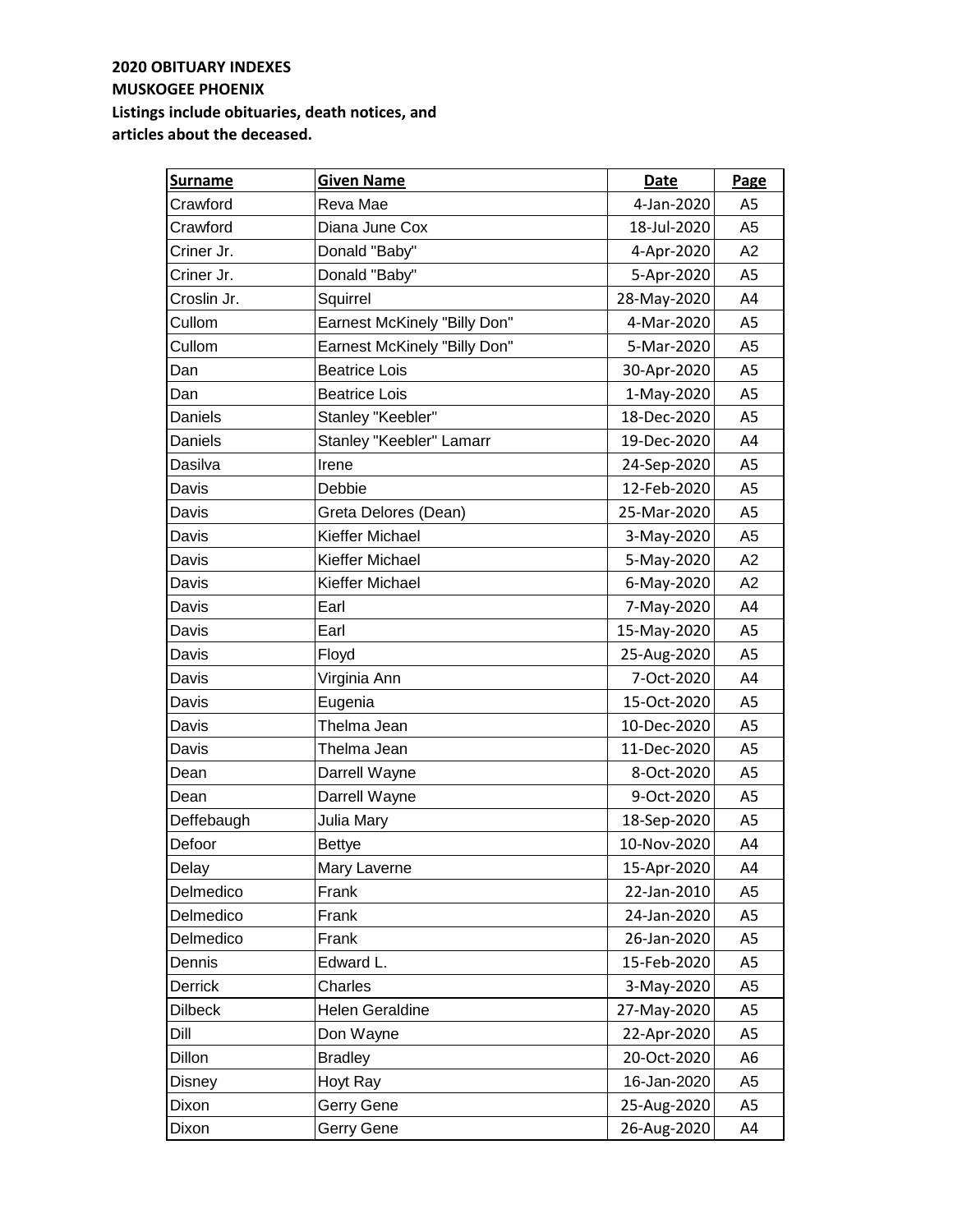| <b>Surname</b> | <b>Given Name</b>                   | Date        | Page           |
|----------------|-------------------------------------|-------------|----------------|
| Crawford       | Reva Mae                            | 4-Jan-2020  | A <sub>5</sub> |
| Crawford       | Diana June Cox                      | 18-Jul-2020 | A <sub>5</sub> |
| Criner Jr.     | Donald "Baby"                       | 4-Apr-2020  | A2             |
| Criner Jr.     | Donald "Baby"                       | 5-Apr-2020  | A5             |
| Croslin Jr.    | Squirrel                            | 28-May-2020 | A4             |
| Cullom         | <b>Earnest McKinely "Billy Don"</b> | 4-Mar-2020  | A5             |
| Cullom         | <b>Earnest McKinely "Billy Don"</b> | 5-Mar-2020  | A <sub>5</sub> |
| Dan            | <b>Beatrice Lois</b>                | 30-Apr-2020 | A5             |
| Dan            | <b>Beatrice Lois</b>                | 1-May-2020  | A5             |
| Daniels        | Stanley "Keebler"                   | 18-Dec-2020 | A <sub>5</sub> |
| Daniels        | Stanley "Keebler" Lamarr            | 19-Dec-2020 | A4             |
| Dasilva        | Irene                               | 24-Sep-2020 | A <sub>5</sub> |
| Davis          | Debbie                              | 12-Feb-2020 | A <sub>5</sub> |
| Davis          | Greta Delores (Dean)                | 25-Mar-2020 | A <sub>5</sub> |
| Davis          | Kieffer Michael                     | 3-May-2020  | A <sub>5</sub> |
| Davis          | Kieffer Michael                     | 5-May-2020  | A2             |
| Davis          | Kieffer Michael                     | 6-May-2020  | A2             |
| Davis          | Earl                                | 7-May-2020  | A4             |
| Davis          | Earl                                | 15-May-2020 | A5             |
| Davis          | Floyd                               | 25-Aug-2020 | A5             |
| Davis          | Virginia Ann                        | 7-Oct-2020  | A4             |
| Davis          | Eugenia                             | 15-Oct-2020 | A5             |
| Davis          | Thelma Jean                         | 10-Dec-2020 | A <sub>5</sub> |
| Davis          | Thelma Jean                         | 11-Dec-2020 | A <sub>5</sub> |
| Dean           | Darrell Wayne                       | 8-Oct-2020  | A <sub>5</sub> |
| Dean           | Darrell Wayne                       | 9-Oct-2020  | A <sub>5</sub> |
| Deffebaugh     | Julia Mary                          | 18-Sep-2020 | A <sub>5</sub> |
| Defoor         | <b>Bettye</b>                       | 10-Nov-2020 | A4             |
| Delay          | Mary Laverne                        | 15-Apr-2020 | A4             |
| Delmedico      | Frank                               | 22-Jan-2010 | A5             |
| Delmedico      | Frank                               | 24-Jan-2020 | A5             |
| Delmedico      | Frank                               | 26-Jan-2020 | A5             |
| Dennis         | Edward L.                           | 15-Feb-2020 | A5             |
| Derrick        | Charles                             | 3-May-2020  | A <sub>5</sub> |
| <b>Dilbeck</b> | <b>Helen Geraldine</b>              | 27-May-2020 | A5             |
| Dill           | Don Wayne                           | 22-Apr-2020 | A <sub>5</sub> |
| Dillon         | <b>Bradley</b>                      | 20-Oct-2020 | A6             |
| Disney         | Hoyt Ray                            | 16-Jan-2020 | A <sub>5</sub> |
| Dixon          | Gerry Gene                          | 25-Aug-2020 | A5             |
| Dixon          | Gerry Gene                          | 26-Aug-2020 | A4             |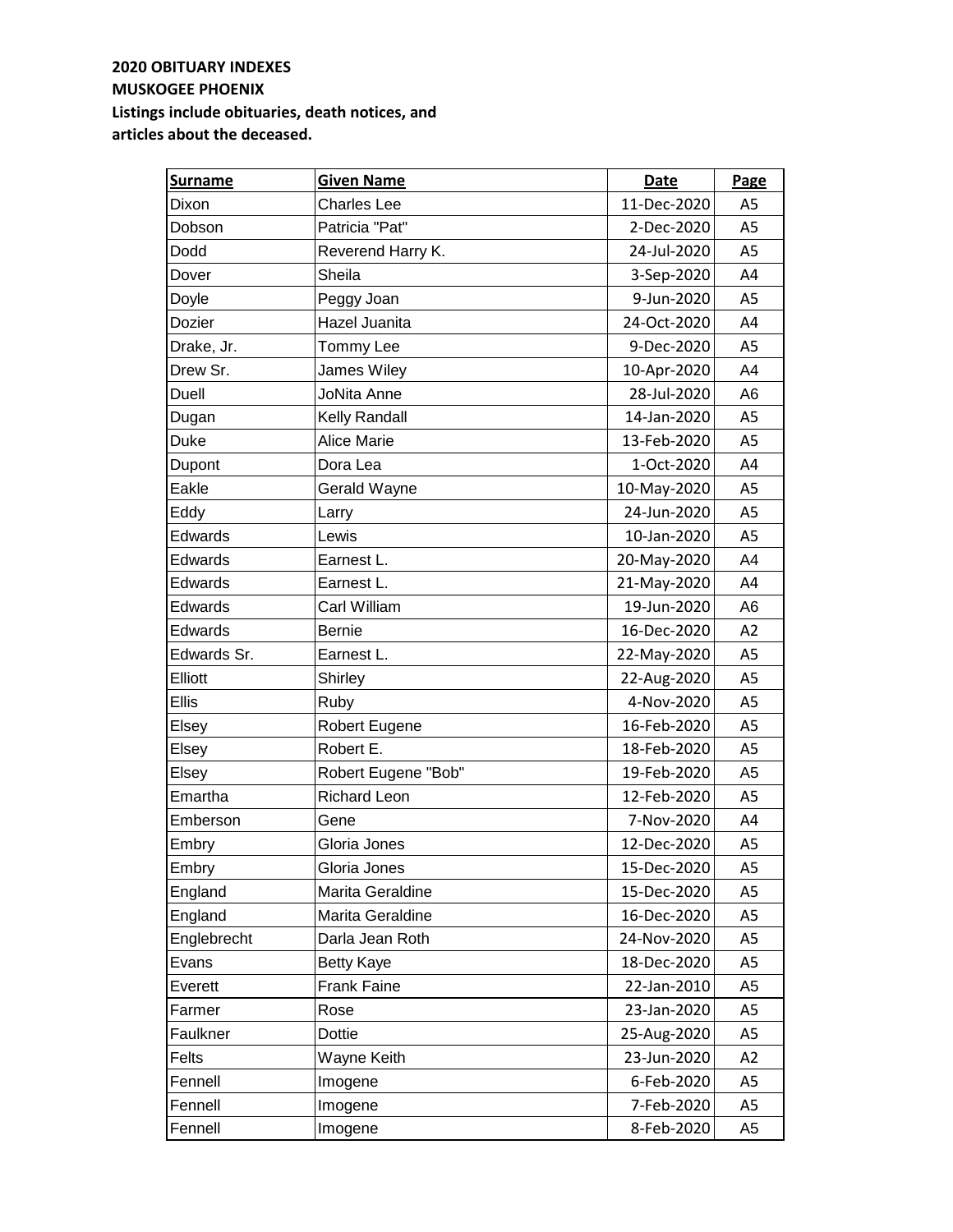| <b>Surname</b> | <b>Given Name</b>   | Date        | Page           |
|----------------|---------------------|-------------|----------------|
| Dixon          | <b>Charles Lee</b>  | 11-Dec-2020 | A <sub>5</sub> |
| Dobson         | Patricia "Pat"      | 2-Dec-2020  | A <sub>5</sub> |
| Dodd           | Reverend Harry K.   | 24-Jul-2020 | A <sub>5</sub> |
| Dover          | Sheila              | 3-Sep-2020  | A4             |
| Doyle          | Peggy Joan          | 9-Jun-2020  | A <sub>5</sub> |
| Dozier         | Hazel Juanita       | 24-Oct-2020 | A4             |
| Drake, Jr.     | Tommy Lee           | 9-Dec-2020  | A5             |
| Drew Sr.       | James Wiley         | 10-Apr-2020 | A4             |
| Duell          | <b>JoNita Anne</b>  | 28-Jul-2020 | A6             |
| Dugan          | Kelly Randall       | 14-Jan-2020 | A <sub>5</sub> |
| <b>Duke</b>    | <b>Alice Marie</b>  | 13-Feb-2020 | A5             |
| Dupont         | Dora Lea            | 1-Oct-2020  | A4             |
| Eakle          | Gerald Wayne        | 10-May-2020 | A5             |
| Eddy           | Larry               | 24-Jun-2020 | A <sub>5</sub> |
| Edwards        | Lewis               | 10-Jan-2020 | A <sub>5</sub> |
| Edwards        | Earnest L.          | 20-May-2020 | A4             |
| Edwards        | Earnest L.          | 21-May-2020 | A4             |
| Edwards        | Carl William        | 19-Jun-2020 | A <sub>6</sub> |
| Edwards        | <b>Bernie</b>       | 16-Dec-2020 | A2             |
| Edwards Sr.    | Earnest L.          | 22-May-2020 | A5             |
| Elliott        | Shirley             | 22-Aug-2020 | A5             |
| Ellis          | Ruby                | 4-Nov-2020  | A5             |
| Elsey          | Robert Eugene       | 16-Feb-2020 | A5             |
| Elsey          | Robert E.           | 18-Feb-2020 | A5             |
| Elsey          | Robert Eugene "Bob" | 19-Feb-2020 | A <sub>5</sub> |
| Emartha        | <b>Richard Leon</b> | 12-Feb-2020 | A <sub>5</sub> |
| Emberson       | Gene                | 7-Nov-2020  | A4             |
| Embry          | Gloria Jones        | 12-Dec-2020 | A <sub>5</sub> |
| Embry          | Gloria Jones        | 15-Dec-2020 | A5             |
| England        | Marita Geraldine    | 15-Dec-2020 | A5             |
| England        | Marita Geraldine    | 16-Dec-2020 | A5             |
| Englebrecht    | Darla Jean Roth     | 24-Nov-2020 | A5             |
| Evans          | <b>Betty Kaye</b>   | 18-Dec-2020 | A5             |
| Everett        | Frank Faine         | 22-Jan-2010 | A5             |
| Farmer         | Rose                | 23-Jan-2020 | A5             |
| Faulkner       | Dottie              | 25-Aug-2020 | A5             |
| Felts          | Wayne Keith         | 23-Jun-2020 | A <sub>2</sub> |
| Fennell        | Imogene             | 6-Feb-2020  | A5             |
| Fennell        | Imogene             | 7-Feb-2020  | A <sub>5</sub> |
| Fennell        | Imogene             | 8-Feb-2020  | A <sub>5</sub> |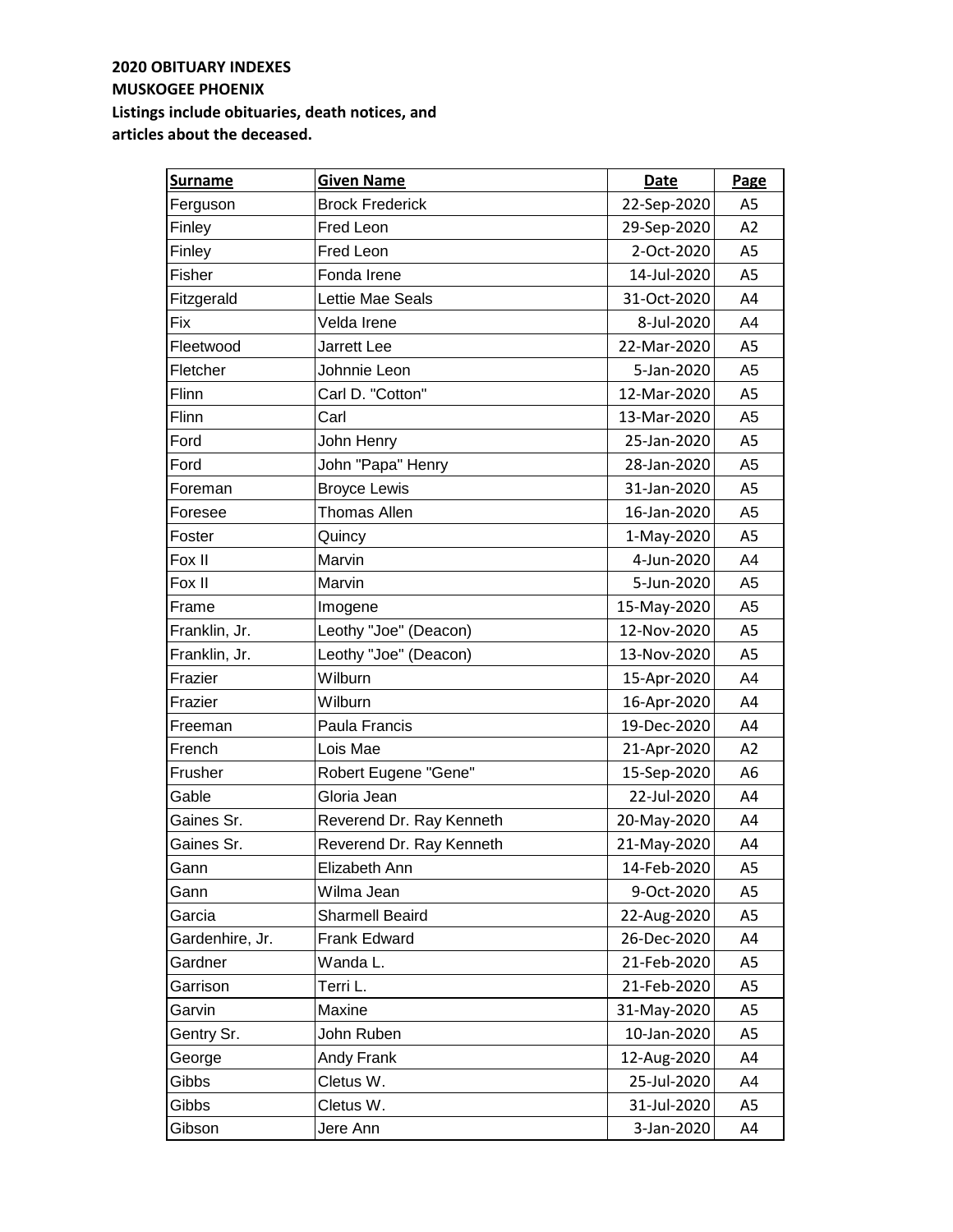| <b>Surname</b>  | <b>Given Name</b>        | Date        | Page           |
|-----------------|--------------------------|-------------|----------------|
| Ferguson        | <b>Brock Frederick</b>   | 22-Sep-2020 | A <sub>5</sub> |
| Finley          | Fred Leon                | 29-Sep-2020 | A2             |
| Finley          | Fred Leon                | 2-Oct-2020  | A <sub>5</sub> |
| Fisher          | Fonda Irene              | 14-Jul-2020 | A5             |
| Fitzgerald      | Lettie Mae Seals         | 31-Oct-2020 | A4             |
| Fix             | Velda Irene              | 8-Jul-2020  | A4             |
| Fleetwood       | <b>Jarrett Lee</b>       | 22-Mar-2020 | A5             |
| Fletcher        | Johnnie Leon             | 5-Jan-2020  | A <sub>5</sub> |
| Flinn           | Carl D. "Cotton"         | 12-Mar-2020 | A5             |
| Flinn           | Carl                     | 13-Mar-2020 | A <sub>5</sub> |
| Ford            | John Henry               | 25-Jan-2020 | A <sub>5</sub> |
| Ford            | John "Papa" Henry        | 28-Jan-2020 | A <sub>5</sub> |
| Foreman         | <b>Broyce Lewis</b>      | 31-Jan-2020 | A <sub>5</sub> |
| Foresee         | <b>Thomas Allen</b>      | 16-Jan-2020 | A <sub>5</sub> |
| Foster          | Quincy                   | 1-May-2020  | A <sub>5</sub> |
| Fox II          | Marvin                   | 4-Jun-2020  | A4             |
| Fox II          | Marvin                   | 5-Jun-2020  | A <sub>5</sub> |
| Frame           | Imogene                  | 15-May-2020 | A <sub>5</sub> |
| Franklin, Jr.   | Leothy "Joe" (Deacon)    | 12-Nov-2020 | A5             |
| Franklin, Jr.   | Leothy "Joe" (Deacon)    | 13-Nov-2020 | A5             |
| Frazier         | Wilburn                  | 15-Apr-2020 | A4             |
| Frazier         | Wilburn                  | 16-Apr-2020 | A4             |
| Freeman         | Paula Francis            | 19-Dec-2020 | A4             |
| French          | Lois Mae                 | 21-Apr-2020 | A <sub>2</sub> |
| Frusher         | Robert Eugene "Gene"     | 15-Sep-2020 | A <sub>6</sub> |
| Gable           | Gloria Jean              | 22-Jul-2020 | A4             |
| Gaines Sr.      | Reverend Dr. Ray Kenneth | 20-May-2020 | A4             |
| Gaines Sr.      | Reverend Dr. Ray Kenneth | 21-May-2020 | A4             |
| Gann            | Elizabeth Ann            | 14-Feb-2020 | A5             |
| Gann            | Wilma Jean               | 9-Oct-2020  | A5             |
| Garcia          | <b>Sharmell Beaird</b>   | 22-Aug-2020 | A5             |
| Gardenhire, Jr. | Frank Edward             | 26-Dec-2020 | A4             |
| Gardner         | Wanda L.                 | 21-Feb-2020 | A5             |
| Garrison        | Terri L.                 | 21-Feb-2020 | A5             |
| Garvin          | Maxine                   | 31-May-2020 | A5             |
| Gentry Sr.      | John Ruben               | 10-Jan-2020 | A5             |
| George          | Andy Frank               | 12-Aug-2020 | A4             |
| Gibbs           | Cletus W.                | 25-Jul-2020 | A4             |
| Gibbs           | Cletus W.                | 31-Jul-2020 | A5             |
| Gibson          | Jere Ann                 | 3-Jan-2020  | A4             |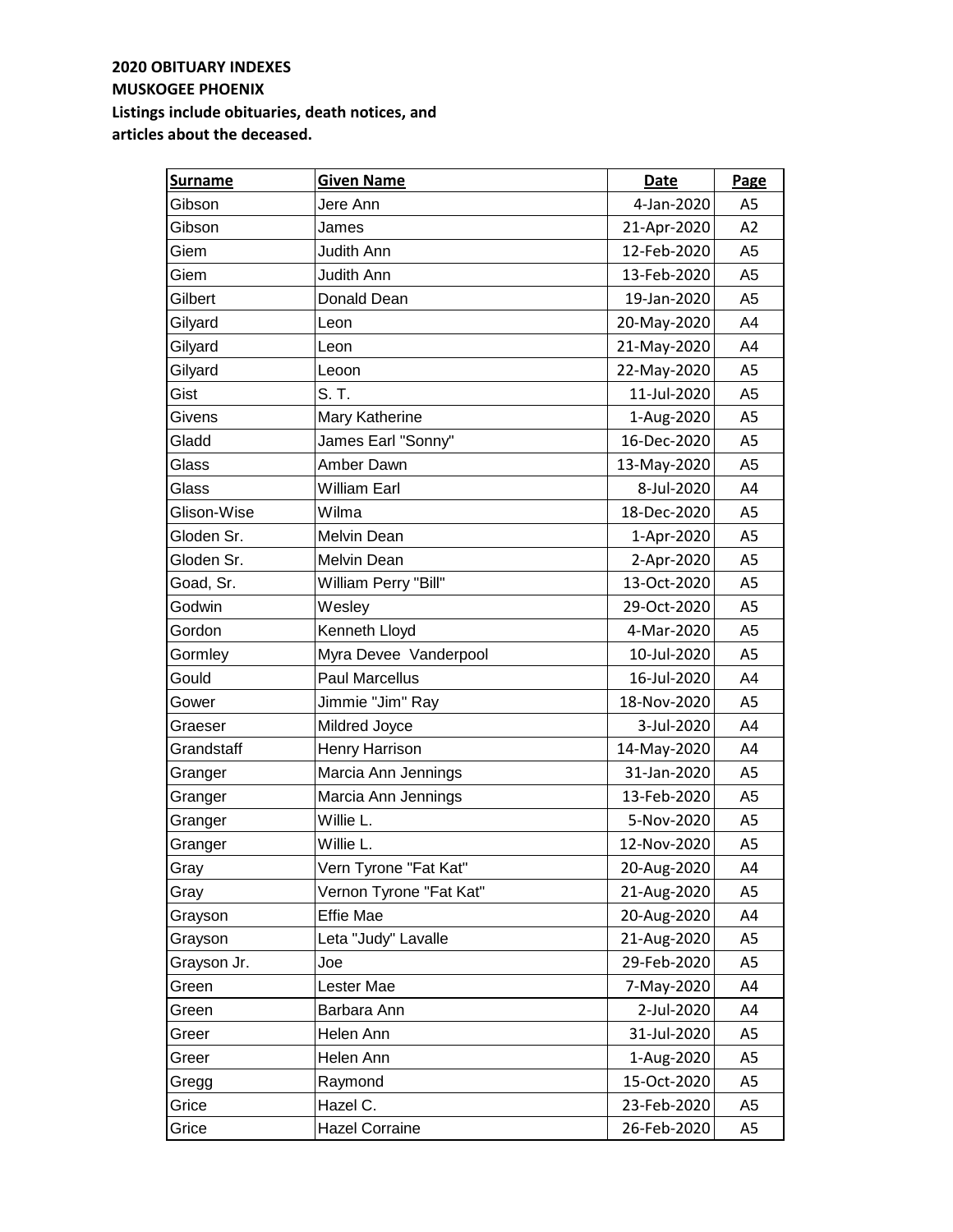| <b>Surname</b> | <b>Given Name</b>       | Date        | Page           |
|----------------|-------------------------|-------------|----------------|
| Gibson         | Jere Ann                | 4-Jan-2020  | A <sub>5</sub> |
| Gibson         | James                   | 21-Apr-2020 | A2             |
| Giem           | Judith Ann              | 12-Feb-2020 | A <sub>5</sub> |
| Giem           | <b>Judith Ann</b>       | 13-Feb-2020 | A <sub>5</sub> |
| Gilbert        | Donald Dean             | 19-Jan-2020 | A <sub>5</sub> |
| Gilyard        | Leon                    | 20-May-2020 | A4             |
| Gilyard        | Leon                    | 21-May-2020 | A4             |
| Gilyard        | Leoon                   | 22-May-2020 | A5             |
| Gist           | S. T.                   | 11-Jul-2020 | A <sub>5</sub> |
| Givens         | Mary Katherine          | 1-Aug-2020  | A <sub>5</sub> |
| Gladd          | James Earl "Sonny"      | 16-Dec-2020 | A5             |
| Glass          | Amber Dawn              | 13-May-2020 | A <sub>5</sub> |
| Glass          | <b>William Earl</b>     | 8-Jul-2020  | A4             |
| Glison-Wise    | Wilma                   | 18-Dec-2020 | A <sub>5</sub> |
| Gloden Sr.     | Melvin Dean             | 1-Apr-2020  | A <sub>5</sub> |
| Gloden Sr.     | Melvin Dean             | 2-Apr-2020  | A <sub>5</sub> |
| Goad, Sr.      | William Perry "Bill"    | 13-Oct-2020 | A <sub>5</sub> |
| Godwin         | Wesley                  | 29-Oct-2020 | A <sub>5</sub> |
| Gordon         | Kenneth Lloyd           | 4-Mar-2020  | A <sub>5</sub> |
| Gormley        | Myra Devee Vanderpool   | 10-Jul-2020 | A5             |
| Gould          | <b>Paul Marcellus</b>   | 16-Jul-2020 | A4             |
| Gower          | Jimmie "Jim" Ray        | 18-Nov-2020 | A5             |
| Graeser        | Mildred Joyce           | 3-Jul-2020  | A4             |
| Grandstaff     | Henry Harrison          | 14-May-2020 | A4             |
| Granger        | Marcia Ann Jennings     | 31-Jan-2020 | A <sub>5</sub> |
| Granger        | Marcia Ann Jennings     | 13-Feb-2020 | A <sub>5</sub> |
| Granger        | Willie L.               | 5-Nov-2020  | A <sub>5</sub> |
| Granger        | Willie L.               | 12-Nov-2020 | A <sub>5</sub> |
| Gray           | Vern Tyrone "Fat Kat"   | 20-Aug-2020 | A4             |
| Gray           | Vernon Tyrone "Fat Kat" | 21-Aug-2020 | A5             |
| Grayson        | <b>Effie Mae</b>        | 20-Aug-2020 | A4             |
| Grayson        | Leta "Judy" Lavalle     | 21-Aug-2020 | A5             |
| Grayson Jr.    | Joe                     | 29-Feb-2020 | A5             |
| Green          | Lester Mae              | 7-May-2020  | A4             |
| Green          | Barbara Ann             | 2-Jul-2020  | A4             |
| Greer          | Helen Ann               | 31-Jul-2020 | A5             |
| Greer          | Helen Ann               | 1-Aug-2020  | A5             |
| Gregg          | Raymond                 | 15-Oct-2020 | A5             |
| Grice          | Hazel C.                | 23-Feb-2020 | A5             |
| Grice          | <b>Hazel Corraine</b>   | 26-Feb-2020 | A5             |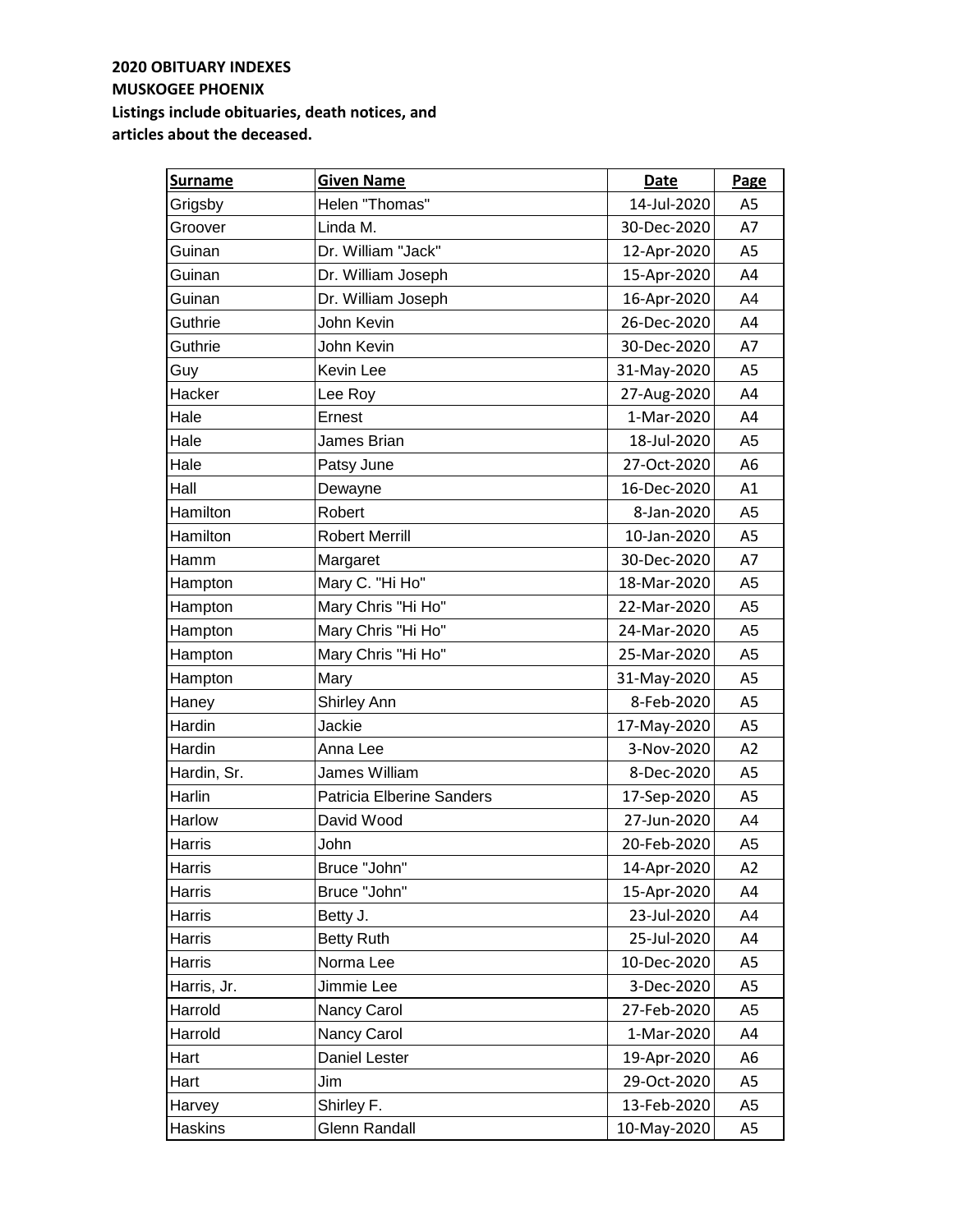| <b>Surname</b> | <b>Given Name</b>         | <b>Date</b> | Page           |
|----------------|---------------------------|-------------|----------------|
| Grigsby        | Helen "Thomas"            | 14-Jul-2020 | A <sub>5</sub> |
| Groover        | Linda M.                  | 30-Dec-2020 | A7             |
| Guinan         | Dr. William "Jack"        | 12-Apr-2020 | A <sub>5</sub> |
| Guinan         | Dr. William Joseph        | 15-Apr-2020 | A4             |
| Guinan         | Dr. William Joseph        | 16-Apr-2020 | A4             |
| Guthrie        | John Kevin                | 26-Dec-2020 | A4             |
| Guthrie        | John Kevin                | 30-Dec-2020 | A7             |
| Guy            | Kevin Lee                 | 31-May-2020 | A5             |
| Hacker         | Lee Roy                   | 27-Aug-2020 | A4             |
| Hale           | Ernest                    | 1-Mar-2020  | A4             |
| Hale           | James Brian               | 18-Jul-2020 | A <sub>5</sub> |
| Hale           | Patsy June                | 27-Oct-2020 | A <sub>6</sub> |
| Hall           | Dewayne                   | 16-Dec-2020 | A1             |
| Hamilton       | Robert                    | 8-Jan-2020  | A <sub>5</sub> |
| Hamilton       | <b>Robert Merrill</b>     | 10-Jan-2020 | A <sub>5</sub> |
| Hamm           | Margaret                  | 30-Dec-2020 | A7             |
| Hampton        | Mary C. "Hi Ho"           | 18-Mar-2020 | A <sub>5</sub> |
| Hampton        | Mary Chris "Hi Ho"        | 22-Mar-2020 | A <sub>5</sub> |
| Hampton        | Mary Chris "Hi Ho"        | 24-Mar-2020 | A <sub>5</sub> |
| Hampton        | Mary Chris "Hi Ho"        | 25-Mar-2020 | A <sub>5</sub> |
| Hampton        | Mary                      | 31-May-2020 | A5             |
| Haney          | <b>Shirley Ann</b>        | 8-Feb-2020  | A <sub>5</sub> |
| Hardin         | Jackie                    | 17-May-2020 | A <sub>5</sub> |
| Hardin         | Anna Lee                  | 3-Nov-2020  | A2             |
| Hardin, Sr.    | James William             | 8-Dec-2020  | A <sub>5</sub> |
| Harlin         | Patricia Elberine Sanders | 17-Sep-2020 | A <sub>5</sub> |
| Harlow         | David Wood                | 27-Jun-2020 | A4             |
| Harris         | John                      | 20-Feb-2020 | A5             |
| Harris         | Bruce "John"              | 14-Apr-2020 | A2             |
| Harris         | Bruce "John"              | 15-Apr-2020 | A4             |
| Harris         | Betty J.                  | 23-Jul-2020 | A4             |
| Harris         | <b>Betty Ruth</b>         | 25-Jul-2020 | A4             |
| Harris         | Norma Lee                 | 10-Dec-2020 | A5             |
| Harris, Jr.    | Jimmie Lee                | 3-Dec-2020  | A5             |
| Harrold        | Nancy Carol               | 27-Feb-2020 | A <sub>5</sub> |
| Harrold        | Nancy Carol               | 1-Mar-2020  | A4             |
| Hart           | Daniel Lester             | 19-Apr-2020 | A6             |
| Hart           | Jim                       | 29-Oct-2020 | A <sub>5</sub> |
| Harvey         | Shirley F.                | 13-Feb-2020 | A <sub>5</sub> |
| Haskins        | Glenn Randall             | 10-May-2020 | A <sub>5</sub> |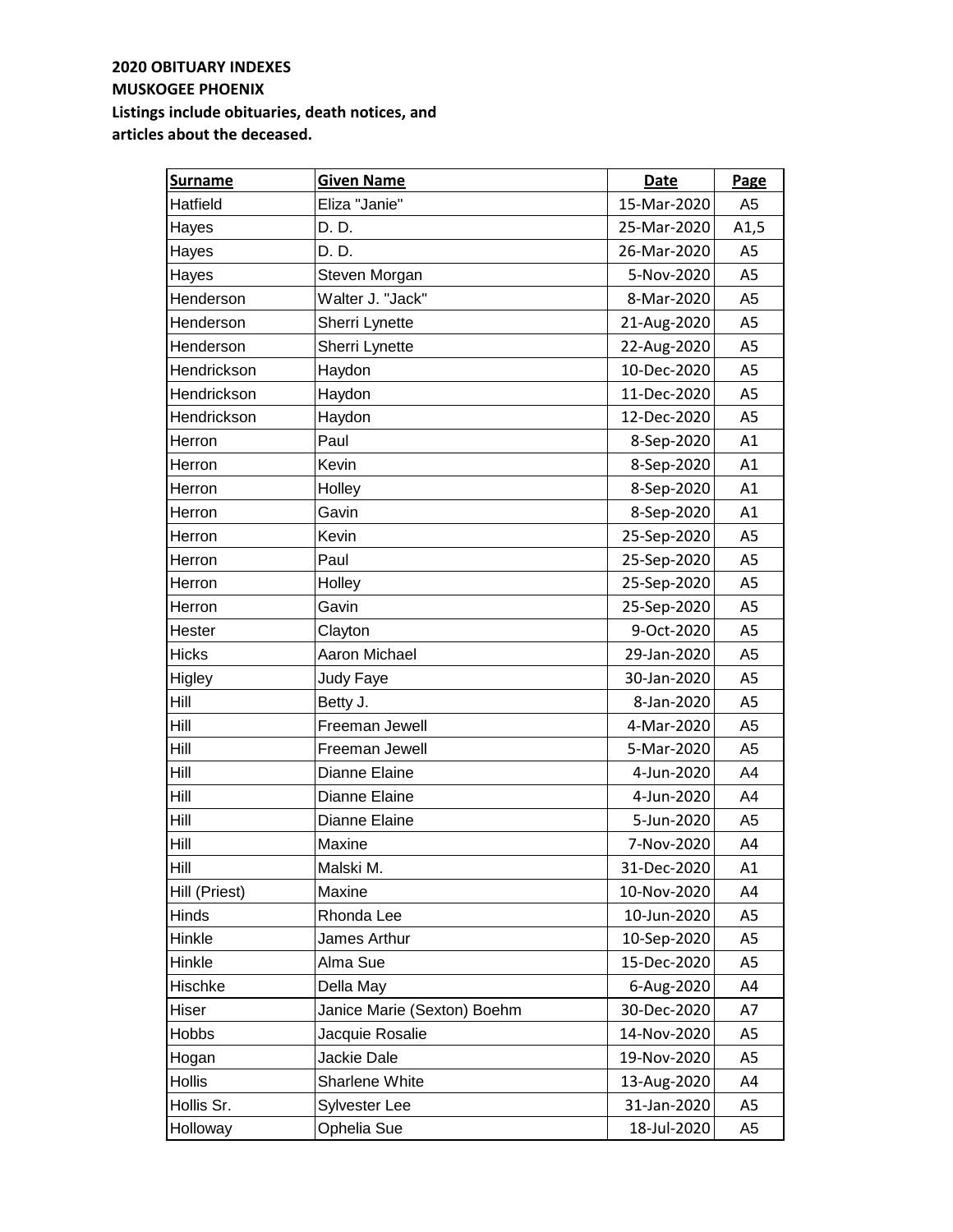| <b>Surname</b> | <b>Given Name</b>           | Date        | Page           |
|----------------|-----------------------------|-------------|----------------|
| Hatfield       | Eliza "Janie"               | 15-Mar-2020 | A <sub>5</sub> |
| Hayes          | D. D.                       | 25-Mar-2020 | A1,5           |
| Hayes          | D. D.                       | 26-Mar-2020 | A <sub>5</sub> |
| Hayes          | Steven Morgan               | 5-Nov-2020  | A5             |
| Henderson      | Walter J. "Jack"            | 8-Mar-2020  | A <sub>5</sub> |
| Henderson      | Sherri Lynette              | 21-Aug-2020 | A5             |
| Henderson      | Sherri Lynette              | 22-Aug-2020 | A5             |
| Hendrickson    | Haydon                      | 10-Dec-2020 | A <sub>5</sub> |
| Hendrickson    | Haydon                      | 11-Dec-2020 | A5             |
| Hendrickson    | Haydon                      | 12-Dec-2020 | A <sub>5</sub> |
| Herron         | Paul                        | 8-Sep-2020  | A1             |
| Herron         | Kevin                       | 8-Sep-2020  | A1             |
| Herron         | Holley                      | 8-Sep-2020  | A1             |
| Herron         | Gavin                       | 8-Sep-2020  | A1             |
| Herron         | Kevin                       | 25-Sep-2020 | A <sub>5</sub> |
| Herron         | Paul                        | 25-Sep-2020 | A <sub>5</sub> |
| Herron         | Holley                      | 25-Sep-2020 | A5             |
| Herron         | Gavin                       | 25-Sep-2020 | A5             |
| Hester         | Clayton                     | 9-Oct-2020  | A <sub>5</sub> |
| <b>Hicks</b>   | Aaron Michael               | 29-Jan-2020 | A5             |
| Higley         | Judy Faye                   | 30-Jan-2020 | A <sub>5</sub> |
| Hill           | Betty J.                    | 8-Jan-2020  | A5             |
| Hill           | Freeman Jewell              | 4-Mar-2020  | A <sub>5</sub> |
| Hill           | Freeman Jewell              | 5-Mar-2020  | A <sub>5</sub> |
| Hill           | Dianne Elaine               | 4-Jun-2020  | A4             |
| Hill           | Dianne Elaine               | 4-Jun-2020  | A4             |
| Hill           | Dianne Elaine               | 5-Jun-2020  | A <sub>5</sub> |
| Hill           | Maxine                      | 7-Nov-2020  | A4             |
| Hill           | Malski M.                   | 31-Dec-2020 | A1             |
| Hill (Priest)  | Maxine                      | 10-Nov-2020 | A4             |
| Hinds          | Rhonda Lee                  | 10-Jun-2020 | A5             |
| Hinkle         | James Arthur                | 10-Sep-2020 | A5             |
| Hinkle         | Alma Sue                    | 15-Dec-2020 | A5             |
| Hischke        | Della May                   | 6-Aug-2020  | A4             |
| Hiser          | Janice Marie (Sexton) Boehm | 30-Dec-2020 | A7             |
| Hobbs          | Jacquie Rosalie             | 14-Nov-2020 | A5             |
| Hogan          | Jackie Dale                 | 19-Nov-2020 | A <sub>5</sub> |
| Hollis         | Sharlene White              | 13-Aug-2020 | A4             |
| Hollis Sr.     | Sylvester Lee               | 31-Jan-2020 | A5             |
| Holloway       | Ophelia Sue                 | 18-Jul-2020 | A <sub>5</sub> |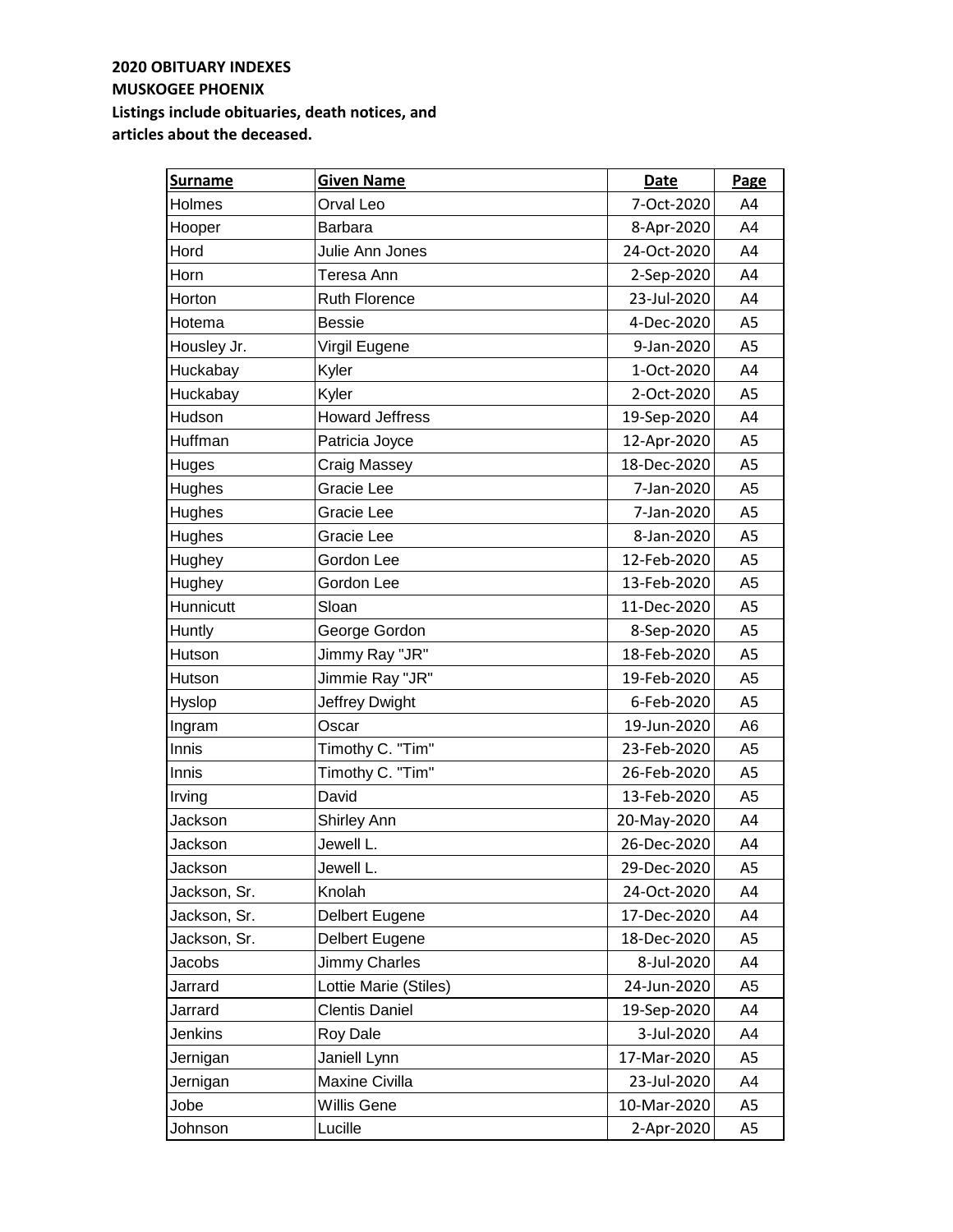| <b>Surname</b> | <b>Given Name</b>      | <b>Date</b> | Page           |
|----------------|------------------------|-------------|----------------|
| Holmes         | Orval Leo              | 7-Oct-2020  | A4             |
| Hooper         | Barbara                | 8-Apr-2020  | A4             |
| Hord           | Julie Ann Jones        | 24-Oct-2020 | A4             |
| Horn           | Teresa Ann             | 2-Sep-2020  | A4             |
| Horton         | <b>Ruth Florence</b>   | 23-Jul-2020 | A4             |
| Hotema         | <b>Bessie</b>          | 4-Dec-2020  | A5             |
| Housley Jr.    | Virgil Eugene          | 9-Jan-2020  | A5             |
| Huckabay       | Kyler                  | 1-Oct-2020  | A4             |
| Huckabay       | Kyler                  | 2-Oct-2020  | A5             |
| Hudson         | <b>Howard Jeffress</b> | 19-Sep-2020 | A4             |
| Huffman        | Patricia Joyce         | 12-Apr-2020 | A <sub>5</sub> |
| Huges          | Craig Massey           | 18-Dec-2020 | A5             |
| Hughes         | Gracie Lee             | 7-Jan-2020  | A <sub>5</sub> |
| Hughes         | Gracie Lee             | 7-Jan-2020  | A <sub>5</sub> |
| Hughes         | Gracie Lee             | 8-Jan-2020  | A <sub>5</sub> |
| Hughey         | Gordon Lee             | 12-Feb-2020 | A <sub>5</sub> |
| Hughey         | Gordon Lee             | 13-Feb-2020 | A <sub>5</sub> |
| Hunnicutt      | Sloan                  | 11-Dec-2020 | A5             |
| Huntly         | George Gordon          | 8-Sep-2020  | A <sub>5</sub> |
| Hutson         | Jimmy Ray "JR"         | 18-Feb-2020 | A5             |
| Hutson         | Jimmie Ray "JR"        | 19-Feb-2020 | A <sub>5</sub> |
| Hyslop         | Jeffrey Dwight         | 6-Feb-2020  | A <sub>5</sub> |
| Ingram         | Oscar                  | 19-Jun-2020 | A <sub>6</sub> |
| Innis          | Timothy C. "Tim"       | 23-Feb-2020 | A <sub>5</sub> |
| Innis          | Timothy C. "Tim"       | 26-Feb-2020 | A <sub>5</sub> |
| Irving         | David                  | 13-Feb-2020 | A <sub>5</sub> |
| Jackson        | Shirley Ann            | 20-May-2020 | A4             |
| Jackson        | Jewell L.              | 26-Dec-2020 | A4             |
| Jackson        | Jewell L.              | 29-Dec-2020 | A5             |
| Jackson, Sr.   | Knolah                 | 24-Oct-2020 | A4             |
| Jackson, Sr.   | Delbert Eugene         | 17-Dec-2020 | A4             |
| Jackson, Sr.   | Delbert Eugene         | 18-Dec-2020 | A5             |
| Jacobs         | Jimmy Charles          | 8-Jul-2020  | A4             |
| Jarrard        | Lottie Marie (Stiles)  | 24-Jun-2020 | A <sub>5</sub> |
| Jarrard        | <b>Clentis Daniel</b>  | 19-Sep-2020 | A4             |
| Jenkins        | Roy Dale               | 3-Jul-2020  | A4             |
| Jernigan       | Janiell Lynn           | 17-Mar-2020 | A5             |
| Jernigan       | Maxine Civilla         | 23-Jul-2020 | A4             |
| Jobe           | <b>Willis Gene</b>     | 10-Mar-2020 | A5             |
| Johnson        | Lucille                | 2-Apr-2020  | A <sub>5</sub> |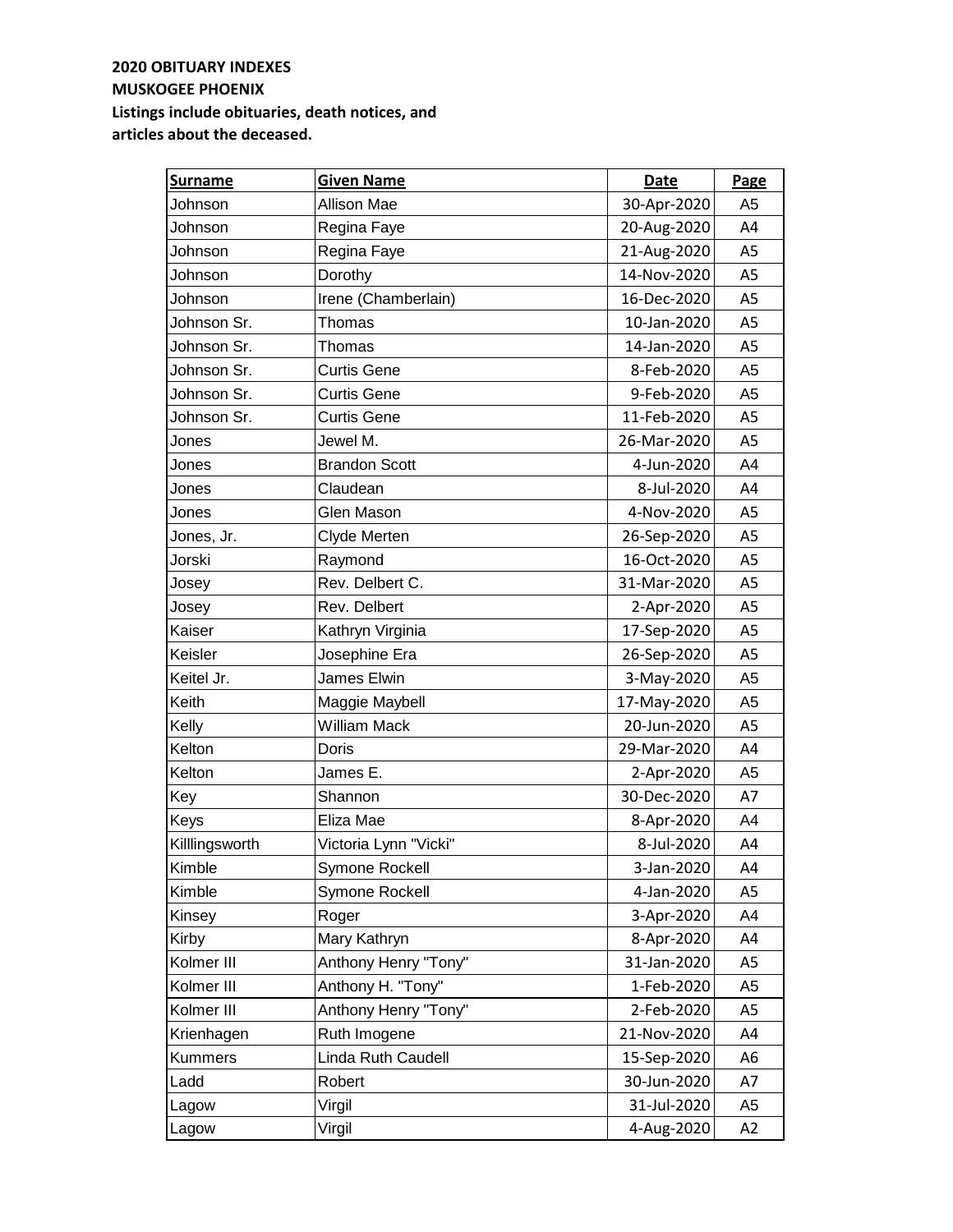| <b>Surname</b> | <b>Given Name</b>     | Date        | Page           |
|----------------|-----------------------|-------------|----------------|
| Johnson        | Allison Mae           | 30-Apr-2020 | A <sub>5</sub> |
| Johnson        | Regina Faye           | 20-Aug-2020 | A4             |
| Johnson        | Regina Faye           | 21-Aug-2020 | A <sub>5</sub> |
| Johnson        | Dorothy               | 14-Nov-2020 | A <sub>5</sub> |
| Johnson        | Irene (Chamberlain)   | 16-Dec-2020 | A <sub>5</sub> |
| Johnson Sr.    | Thomas                | 10-Jan-2020 | A5             |
| Johnson Sr.    | Thomas                | 14-Jan-2020 | A <sub>5</sub> |
| Johnson Sr.    | <b>Curtis Gene</b>    | 8-Feb-2020  | A <sub>5</sub> |
| Johnson Sr.    | <b>Curtis Gene</b>    | 9-Feb-2020  | A <sub>5</sub> |
| Johnson Sr.    | <b>Curtis Gene</b>    | 11-Feb-2020 | A <sub>5</sub> |
| Jones          | Jewel M.              | 26-Mar-2020 | A5             |
| Jones          | <b>Brandon Scott</b>  | 4-Jun-2020  | A4             |
| Jones          | Claudean              | 8-Jul-2020  | A4             |
| Jones          | <b>Glen Mason</b>     | 4-Nov-2020  | A <sub>5</sub> |
| Jones, Jr.     | Clyde Merten          | 26-Sep-2020 | A <sub>5</sub> |
| Jorski         | Raymond               | 16-Oct-2020 | A <sub>5</sub> |
| Josey          | Rev. Delbert C.       | 31-Mar-2020 | A <sub>5</sub> |
| Josey          | Rev. Delbert          | 2-Apr-2020  | A <sub>5</sub> |
| Kaiser         | Kathryn Virginia      | 17-Sep-2020 | A <sub>5</sub> |
| Keisler        | Josephine Era         | 26-Sep-2020 | A <sub>5</sub> |
| Keitel Jr.     | James Elwin           | 3-May-2020  | A <sub>5</sub> |
| Keith          | Maggie Maybell        | 17-May-2020 | A <sub>5</sub> |
| Kelly          | <b>William Mack</b>   | 20-Jun-2020 | A5             |
| Kelton         | Doris                 | 29-Mar-2020 | A4             |
| Kelton         | James E.              | 2-Apr-2020  | A <sub>5</sub> |
| Key            | Shannon               | 30-Dec-2020 | A7             |
| Keys           | Eliza Mae             | 8-Apr-2020  | A4             |
| Killlingsworth | Victoria Lynn "Vicki" | 8-Jul-2020  | A4             |
| Kimble         | Symone Rockell        | 3-Jan-2020  | A4             |
| Kimble         | Symone Rockell        | 4-Jan-2020  | A5             |
| Kinsey         | Roger                 | 3-Apr-2020  | A4             |
| Kirby          | Mary Kathryn          | 8-Apr-2020  | A4             |
| Kolmer III     | Anthony Henry "Tony"  | 31-Jan-2020 | A5             |
| Kolmer III     | Anthony H. "Tony"     | 1-Feb-2020  | A5             |
| Kolmer III     | Anthony Henry "Tony"  | 2-Feb-2020  | A5             |
| Krienhagen     | Ruth Imogene          | 21-Nov-2020 | A4             |
| Kummers        | Linda Ruth Caudell    | 15-Sep-2020 | A6             |
| Ladd           | Robert                | 30-Jun-2020 | A7             |
| Lagow          | Virgil                | 31-Jul-2020 | A <sub>5</sub> |
| Lagow          | Virgil                | 4-Aug-2020  | A2             |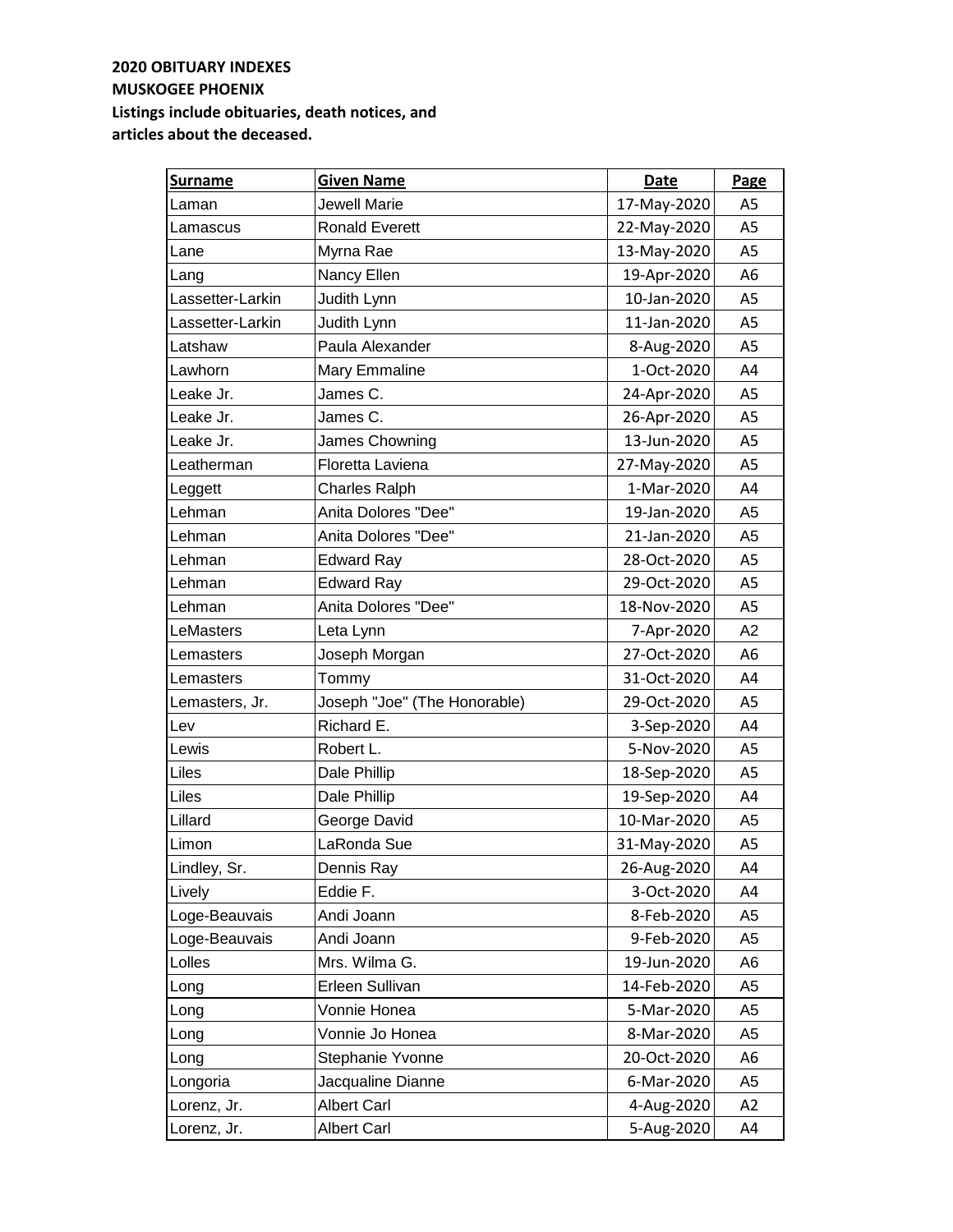| <b>Surname</b>   | <b>Given Name</b>            | <b>Date</b> | Page           |
|------------------|------------------------------|-------------|----------------|
| Laman            | <b>Jewell Marie</b>          | 17-May-2020 | A <sub>5</sub> |
| Lamascus         | Ronald Everett               | 22-May-2020 | A5             |
| Lane             | Myrna Rae                    | 13-May-2020 | A <sub>5</sub> |
| Lang             | Nancy Ellen                  | 19-Apr-2020 | A6             |
| Lassetter-Larkin | Judith Lynn                  | 10-Jan-2020 | A5             |
| Lassetter-Larkin | Judith Lynn                  | 11-Jan-2020 | A5             |
| Latshaw          | Paula Alexander              | 8-Aug-2020  | A5             |
| Lawhorn          | Mary Emmaline                | 1-Oct-2020  | A4             |
| Leake Jr.        | James C.                     | 24-Apr-2020 | A5             |
| Leake Jr.        | James C.                     | 26-Apr-2020 | A <sub>5</sub> |
| Leake Jr.        | James Chowning               | 13-Jun-2020 | A <sub>5</sub> |
| Leatherman       | Floretta Laviena             | 27-May-2020 | A <sub>5</sub> |
| Leggett          | <b>Charles Ralph</b>         | 1-Mar-2020  | A4             |
| Lehman           | Anita Dolores "Dee"          | 19-Jan-2020 | A <sub>5</sub> |
| Lehman           | Anita Dolores "Dee"          | 21-Jan-2020 | A <sub>5</sub> |
| Lehman           | <b>Edward Ray</b>            | 28-Oct-2020 | A5             |
| Lehman           | <b>Edward Ray</b>            | 29-Oct-2020 | A5             |
| Lehman           | Anita Dolores "Dee"          | 18-Nov-2020 | A5             |
| LeMasters        | Leta Lynn                    | 7-Apr-2020  | A2             |
| Lemasters        | Joseph Morgan                | 27-Oct-2020 | A6             |
| Lemasters        | Tommy                        | 31-Oct-2020 | A4             |
| Lemasters, Jr.   | Joseph "Joe" (The Honorable) | 29-Oct-2020 | A5             |
| Lev              | Richard E.                   | 3-Sep-2020  | A4             |
| Lewis            | Robert L.                    | 5-Nov-2020  | A <sub>5</sub> |
| Liles            | Dale Phillip                 | 18-Sep-2020 | A <sub>5</sub> |
| Liles            | Dale Phillip                 | 19-Sep-2020 | A4             |
| Lillard          | George David                 | 10-Mar-2020 | A <sub>5</sub> |
| Limon            | LaRonda Sue                  | 31-May-2020 | A5             |
| Lindley, Sr.     | Dennis Ray                   | 26-Aug-2020 | A4             |
| Lively           | Eddie F.                     | 3-Oct-2020  | A4             |
| Loge-Beauvais    | Andi Joann                   | 8-Feb-2020  | A <sub>5</sub> |
| Loge-Beauvais    | Andi Joann                   | 9-Feb-2020  | A5             |
| Lolles           | Mrs. Wilma G.                | 19-Jun-2020 | A6             |
| Long             | Erleen Sullivan              | 14-Feb-2020 | A <sub>5</sub> |
| Long             | Vonnie Honea                 | 5-Mar-2020  | A5             |
| Long             | Vonnie Jo Honea              | 8-Mar-2020  | A <sub>5</sub> |
| Long             | Stephanie Yvonne             | 20-Oct-2020 | A6             |
| Longoria         | Jacqualine Dianne            | 6-Mar-2020  | A <sub>5</sub> |
| Lorenz, Jr.      | <b>Albert Carl</b>           | 4-Aug-2020  | A2             |
| Lorenz, Jr.      | <b>Albert Carl</b>           | 5-Aug-2020  | A4             |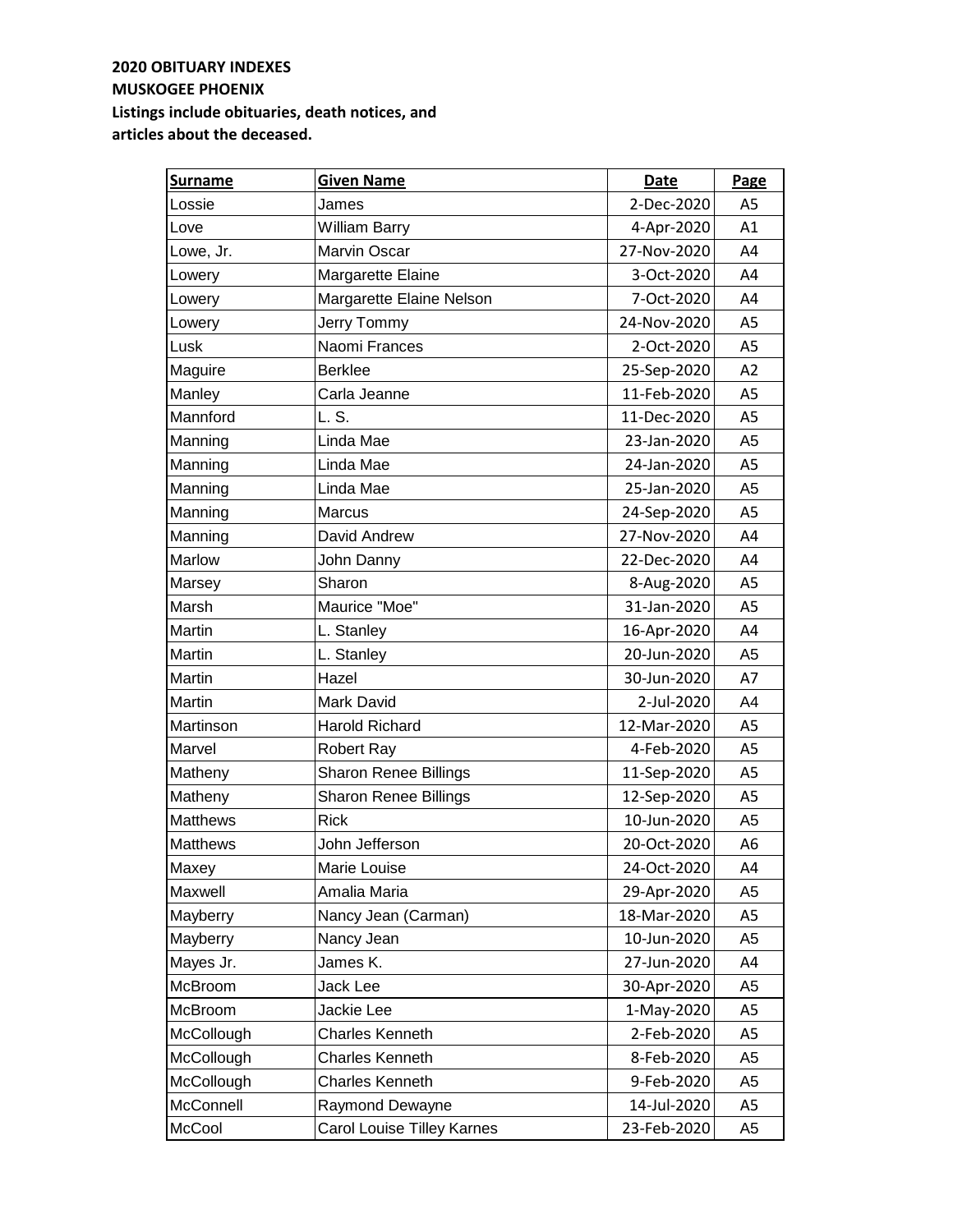| <b>Surname</b>  | <b>Given Name</b>            | Date        | Page           |
|-----------------|------------------------------|-------------|----------------|
| Lossie          | James                        | 2-Dec-2020  | A <sub>5</sub> |
| Love            | <b>William Barry</b>         | 4-Apr-2020  | A1             |
| Lowe, Jr.       | <b>Marvin Oscar</b>          | 27-Nov-2020 | A4             |
| Lowery          | Margarette Elaine            | 3-Oct-2020  | A4             |
| Lowery          | Margarette Elaine Nelson     | 7-Oct-2020  | A4             |
| Lowery          | Jerry Tommy                  | 24-Nov-2020 | A <sub>5</sub> |
| Lusk            | Naomi Frances                | 2-Oct-2020  | A <sub>5</sub> |
| Maguire         | <b>Berklee</b>               | 25-Sep-2020 | A2             |
| Manley          | Carla Jeanne                 | 11-Feb-2020 | A <sub>5</sub> |
| Mannford        | L. S.                        | 11-Dec-2020 | A <sub>5</sub> |
| Manning         | Linda Mae                    | 23-Jan-2020 | A <sub>5</sub> |
| Manning         | Linda Mae                    | 24-Jan-2020 | A5             |
| Manning         | Linda Mae                    | 25-Jan-2020 | A <sub>5</sub> |
| Manning         | Marcus                       | 24-Sep-2020 | A <sub>5</sub> |
| Manning         | David Andrew                 | 27-Nov-2020 | A4             |
| Marlow          | John Danny                   | 22-Dec-2020 | A4             |
| Marsey          | Sharon                       | 8-Aug-2020  | A <sub>5</sub> |
| Marsh           | Maurice "Moe"                | 31-Jan-2020 | A <sub>5</sub> |
| Martin          | L. Stanley                   | 16-Apr-2020 | A4             |
| Martin          | L. Stanley                   | 20-Jun-2020 | A <sub>5</sub> |
| Martin          | Hazel                        | 30-Jun-2020 | A7             |
| Martin          | Mark David                   | 2-Jul-2020  | A4             |
| Martinson       | <b>Harold Richard</b>        | 12-Mar-2020 | A5             |
| Marvel          | <b>Robert Ray</b>            | 4-Feb-2020  | A5             |
| Matheny         | <b>Sharon Renee Billings</b> | 11-Sep-2020 | A <sub>5</sub> |
| Matheny         | <b>Sharon Renee Billings</b> | 12-Sep-2020 | A <sub>5</sub> |
| <b>Matthews</b> | <b>Rick</b>                  | 10-Jun-2020 | A <sub>5</sub> |
| <b>Matthews</b> | John Jefferson               | 20-Oct-2020 | A <sub>6</sub> |
| Maxey           | Marie Louise                 | 24-Oct-2020 | A4             |
| Maxwell         | Amalia Maria                 | 29-Apr-2020 | A5             |
| Mayberry        | Nancy Jean (Carman)          | 18-Mar-2020 | A5             |
| Mayberry        | Nancy Jean                   | 10-Jun-2020 | A5             |
| Mayes Jr.       | James K.                     | 27-Jun-2020 | A4             |
| McBroom         | Jack Lee                     | 30-Apr-2020 | A5             |
| McBroom         | Jackie Lee                   | 1-May-2020  | A5             |
| McCollough      | <b>Charles Kenneth</b>       | 2-Feb-2020  | A5             |
| McCollough      | <b>Charles Kenneth</b>       | 8-Feb-2020  | A5             |
| McCollough      | Charles Kenneth              | 9-Feb-2020  | A5             |
| McConnell       | Raymond Dewayne              | 14-Jul-2020 | A5             |
| McCool          | Carol Louise Tilley Karnes   | 23-Feb-2020 | A <sub>5</sub> |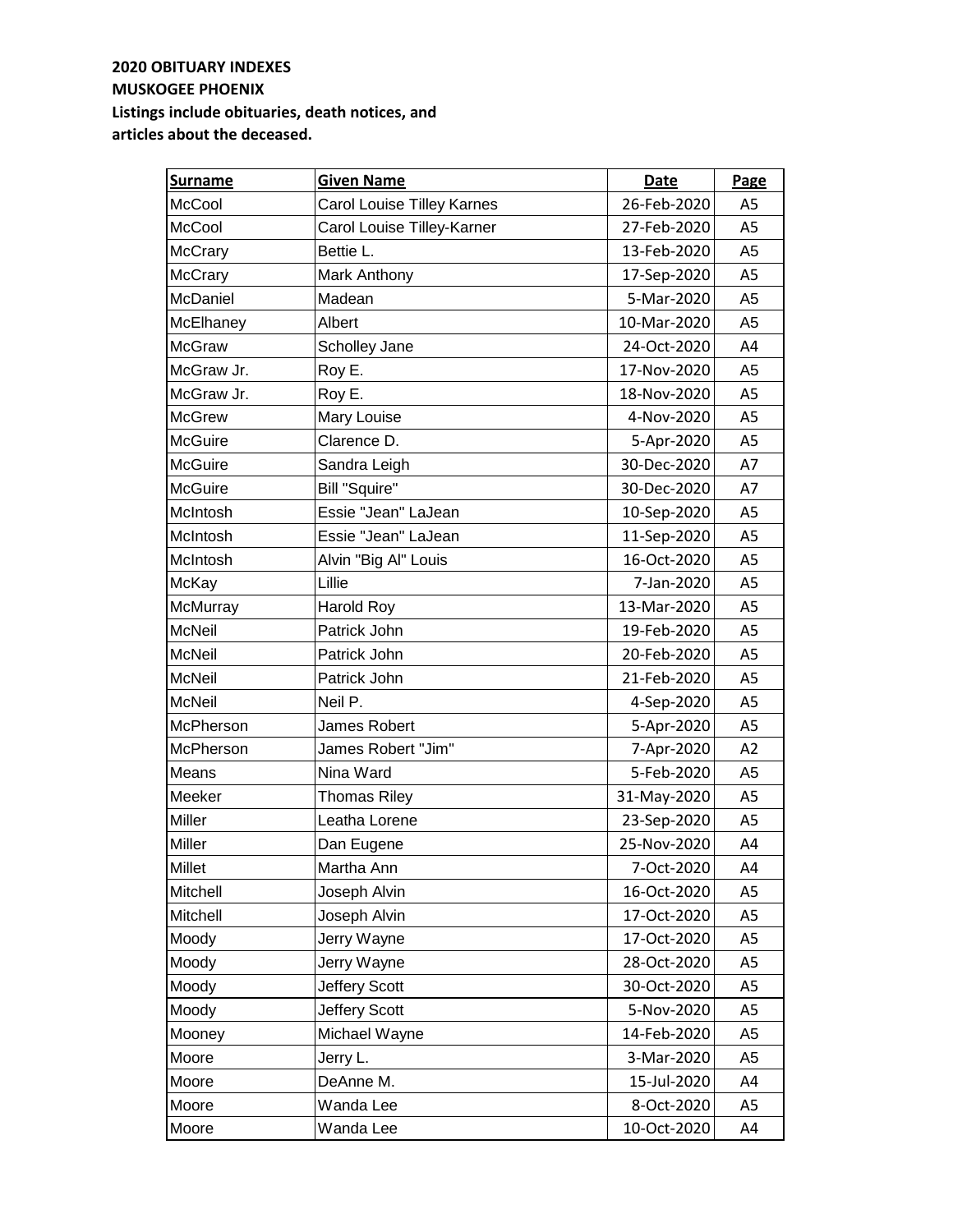| <b>Surname</b> | <b>Given Name</b>                 | Date        | Page           |
|----------------|-----------------------------------|-------------|----------------|
| McCool         | <b>Carol Louise Tilley Karnes</b> | 26-Feb-2020 | A <sub>5</sub> |
| McCool         | Carol Louise Tilley-Karner        | 27-Feb-2020 | A <sub>5</sub> |
| McCrary        | Bettie L.                         | 13-Feb-2020 | A <sub>5</sub> |
| McCrary        | Mark Anthony                      | 17-Sep-2020 | A <sub>5</sub> |
| McDaniel       | Madean                            | 5-Mar-2020  | A <sub>5</sub> |
| McElhaney      | Albert                            | 10-Mar-2020 | A <sub>5</sub> |
| <b>McGraw</b>  | Scholley Jane                     | 24-Oct-2020 | A4             |
| McGraw Jr.     | Roy E.                            | 17-Nov-2020 | A5             |
| McGraw Jr.     | Roy E.                            | 18-Nov-2020 | A <sub>5</sub> |
| <b>McGrew</b>  | Mary Louise                       | 4-Nov-2020  | A <sub>5</sub> |
| <b>McGuire</b> | Clarence D.                       | 5-Apr-2020  | A5             |
| McGuire        | Sandra Leigh                      | 30-Dec-2020 | A7             |
| McGuire        | <b>Bill "Squire"</b>              | 30-Dec-2020 | A7             |
| McIntosh       | Essie "Jean" LaJean               | 10-Sep-2020 | A <sub>5</sub> |
| McIntosh       | Essie "Jean" LaJean               | 11-Sep-2020 | A <sub>5</sub> |
| McIntosh       | Alvin "Big Al" Louis              | 16-Oct-2020 | A <sub>5</sub> |
| McKay          | Lillie                            | 7-Jan-2020  | A <sub>5</sub> |
| McMurray       | <b>Harold Roy</b>                 | 13-Mar-2020 | A <sub>5</sub> |
| <b>McNeil</b>  | Patrick John                      | 19-Feb-2020 | A5             |
| <b>McNeil</b>  | Patrick John                      | 20-Feb-2020 | A5             |
| McNeil         | Patrick John                      | 21-Feb-2020 | A <sub>5</sub> |
| <b>McNeil</b>  | Neil P.                           | 4-Sep-2020  | A <sub>5</sub> |
| McPherson      | James Robert                      | 5-Apr-2020  | A5             |
| McPherson      | James Robert "Jim"                | 7-Apr-2020  | A2             |
| Means          | Nina Ward                         | 5-Feb-2020  | A <sub>5</sub> |
| Meeker         | <b>Thomas Riley</b>               | 31-May-2020 | A <sub>5</sub> |
| Miller         | Leatha Lorene                     | 23-Sep-2020 | A <sub>5</sub> |
| Miller         | Dan Eugene                        | 25-Nov-2020 | A4             |
| <b>Millet</b>  | Martha Ann                        | 7-Oct-2020  | A4             |
| Mitchell       | Joseph Alvin                      | 16-Oct-2020 | A5             |
| Mitchell       | Joseph Alvin                      | 17-Oct-2020 | A5             |
| Moody          | Jerry Wayne                       | 17-Oct-2020 | A5             |
| Moody          | Jerry Wayne                       | 28-Oct-2020 | A5             |
| Moody          | Jeffery Scott                     | 30-Oct-2020 | A5             |
| Moody          | Jeffery Scott                     | 5-Nov-2020  | A5             |
| Mooney         | Michael Wayne                     | 14-Feb-2020 | A5             |
| Moore          | Jerry L.                          | 3-Mar-2020  | A <sub>5</sub> |
| Moore          | DeAnne M.                         | 15-Jul-2020 | A4             |
| Moore          | Wanda Lee                         | 8-Oct-2020  | A5             |
| Moore          | Wanda Lee                         | 10-Oct-2020 | A4             |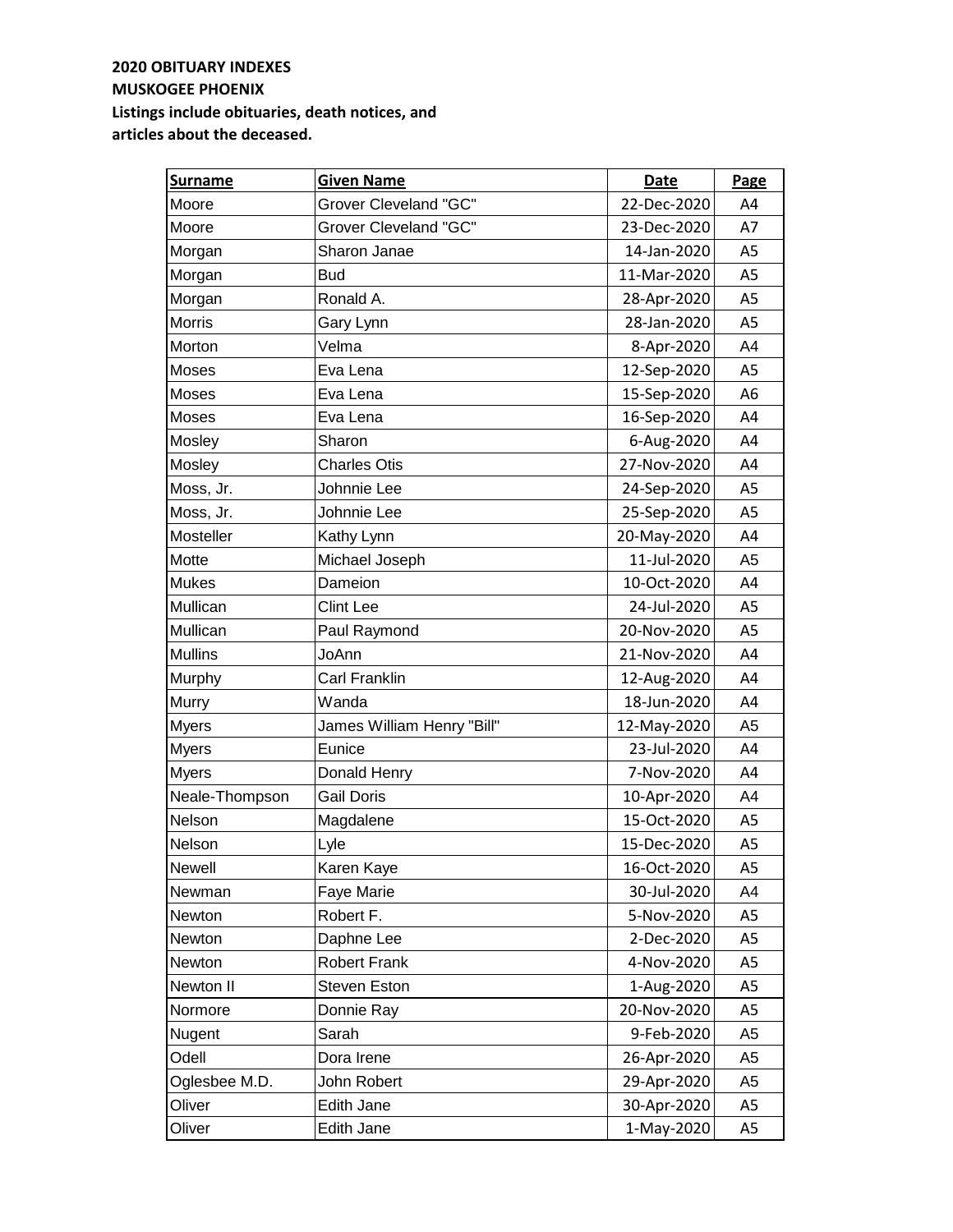| <b>Surname</b> | <b>Given Name</b>            | Date        | Page           |
|----------------|------------------------------|-------------|----------------|
| Moore          | <b>Grover Cleveland "GC"</b> | 22-Dec-2020 | A4             |
| Moore          | <b>Grover Cleveland "GC"</b> | 23-Dec-2020 | A7             |
| Morgan         | Sharon Janae                 | 14-Jan-2020 | A <sub>5</sub> |
| Morgan         | <b>Bud</b>                   | 11-Mar-2020 | A <sub>5</sub> |
| Morgan         | Ronald A.                    | 28-Apr-2020 | A <sub>5</sub> |
| Morris         | Gary Lynn                    | 28-Jan-2020 | A <sub>5</sub> |
| Morton         | Velma                        | 8-Apr-2020  | A4             |
| Moses          | Eva Lena                     | 12-Sep-2020 | A5             |
| Moses          | Eva Lena                     | 15-Sep-2020 | A6             |
| Moses          | Eva Lena                     | 16-Sep-2020 | A4             |
| Mosley         | Sharon                       | 6-Aug-2020  | A4             |
| Mosley         | <b>Charles Otis</b>          | 27-Nov-2020 | A4             |
| Moss, Jr.      | Johnnie Lee                  | 24-Sep-2020 | A <sub>5</sub> |
| Moss, Jr.      | Johnnie Lee                  | 25-Sep-2020 | A <sub>5</sub> |
| Mosteller      | Kathy Lynn                   | 20-May-2020 | A4             |
| Motte          | Michael Joseph               | 11-Jul-2020 | A <sub>5</sub> |
| <b>Mukes</b>   | Dameion                      | 10-Oct-2020 | A4             |
| Mullican       | <b>Clint Lee</b>             | 24-Jul-2020 | A <sub>5</sub> |
| Mullican       | Paul Raymond                 | 20-Nov-2020 | A <sub>5</sub> |
| <b>Mullins</b> | JoAnn                        | 21-Nov-2020 | A4             |
| Murphy         | <b>Carl Franklin</b>         | 12-Aug-2020 | A4             |
| Murry          | Wanda                        | 18-Jun-2020 | A4             |
| <b>Myers</b>   | James William Henry "Bill"   | 12-May-2020 | A <sub>5</sub> |
| <b>Myers</b>   | Eunice                       | 23-Jul-2020 | A4             |
| <b>Myers</b>   | Donald Henry                 | 7-Nov-2020  | A4             |
| Neale-Thompson | <b>Gail Doris</b>            | 10-Apr-2020 | A4             |
| Nelson         | Magdalene                    | 15-Oct-2020 | A <sub>5</sub> |
| Nelson         | Lyle                         | 15-Dec-2020 | A <sub>5</sub> |
| <b>Newell</b>  | Karen Kaye                   | 16-Oct-2020 | A5             |
| Newman         | Faye Marie                   | 30-Jul-2020 | A4             |
| Newton         | Robert F.                    | 5-Nov-2020  | A5             |
| Newton         | Daphne Lee                   | 2-Dec-2020  | A5             |
| Newton         | <b>Robert Frank</b>          | 4-Nov-2020  | A5             |
| Newton II      | <b>Steven Eston</b>          | 1-Aug-2020  | A5             |
| Normore        | Donnie Ray                   | 20-Nov-2020 | A5             |
| Nugent         | Sarah                        | 9-Feb-2020  | A5             |
| Odell          | Dora Irene                   | 26-Apr-2020 | A5             |
| Oglesbee M.D.  | John Robert                  | 29-Apr-2020 | A5             |
| Oliver         | Edith Jane                   | 30-Apr-2020 | A5             |
| Oliver         | Edith Jane                   | 1-May-2020  | A5             |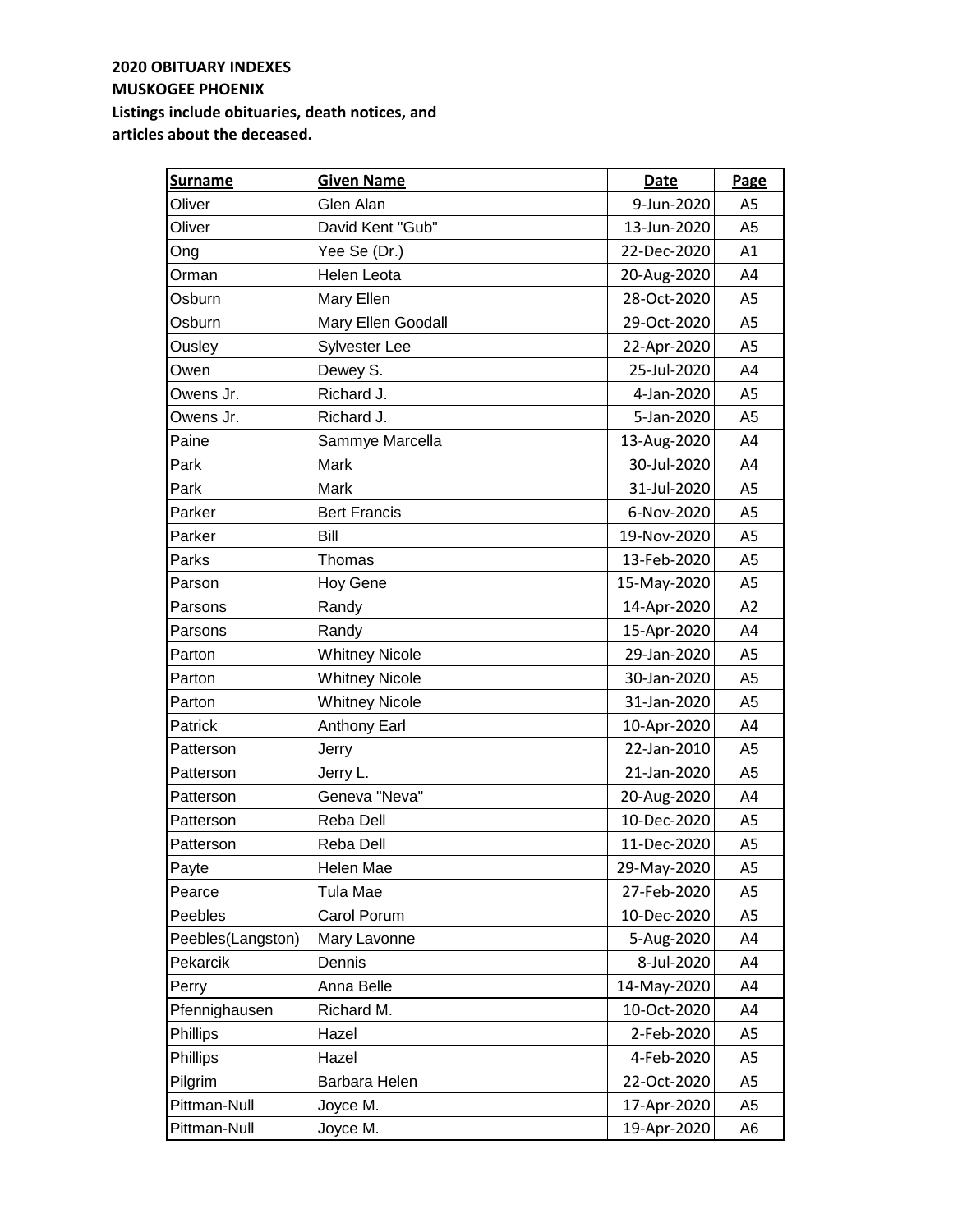| <b>Surname</b>    | <b>Given Name</b>     | <b>Date</b> | <b>Page</b>    |
|-------------------|-----------------------|-------------|----------------|
| Oliver            | Glen Alan             | 9-Jun-2020  | A <sub>5</sub> |
| Oliver            | David Kent "Gub"      | 13-Jun-2020 | A5             |
| Ong               | Yee Se (Dr.)          | 22-Dec-2020 | A1             |
| Orman             | Helen Leota           | 20-Aug-2020 | A4             |
| Osburn            | Mary Ellen            | 28-Oct-2020 | A5             |
| Osburn            | Mary Ellen Goodall    | 29-Oct-2020 | A <sub>5</sub> |
| Ousley            | Sylvester Lee         | 22-Apr-2020 | A <sub>5</sub> |
| Owen              | Dewey S.              | 25-Jul-2020 | A4             |
| Owens Jr.         | Richard J.            | 4-Jan-2020  | A5             |
| Owens Jr.         | Richard J.            | 5-Jan-2020  | A <sub>5</sub> |
| Paine             | Sammye Marcella       | 13-Aug-2020 | A4             |
| Park              | Mark                  | 30-Jul-2020 | A4             |
| Park              | Mark                  | 31-Jul-2020 | A <sub>5</sub> |
| Parker            | <b>Bert Francis</b>   | 6-Nov-2020  | A <sub>5</sub> |
| Parker            | Bill                  | 19-Nov-2020 | A5             |
| Parks             | Thomas                | 13-Feb-2020 | A <sub>5</sub> |
| Parson            | Hoy Gene              | 15-May-2020 | A5             |
| Parsons           | Randy                 | 14-Apr-2020 | A2             |
| Parsons           | Randy                 | 15-Apr-2020 | A4             |
| Parton            | <b>Whitney Nicole</b> | 29-Jan-2020 | A5             |
| Parton            | <b>Whitney Nicole</b> | 30-Jan-2020 | A <sub>5</sub> |
| Parton            | <b>Whitney Nicole</b> | 31-Jan-2020 | A <sub>5</sub> |
| Patrick           | <b>Anthony Earl</b>   | 10-Apr-2020 | A4             |
| Patterson         | Jerry                 | 22-Jan-2010 | A <sub>5</sub> |
| Patterson         | Jerry L.              | 21-Jan-2020 | A <sub>5</sub> |
| Patterson         | Geneva "Neva"         | 20-Aug-2020 | A4             |
| Patterson         | Reba Dell             | 10-Dec-2020 | A5             |
| Patterson         | Reba Dell             | 11-Dec-2020 | A5             |
| Payte             | Helen Mae             | 29-May-2020 | A5             |
| Pearce            | Tula Mae              | 27-Feb-2020 | A5             |
| Peebles           | Carol Porum           | 10-Dec-2020 | A5             |
| Peebles(Langston) | Mary Lavonne          | 5-Aug-2020  | A4             |
| Pekarcik          | Dennis                | 8-Jul-2020  | A4             |
| Perry             | Anna Belle            | 14-May-2020 | A4             |
| Pfennighausen     | Richard M.            | 10-Oct-2020 | A4             |
| Phillips          | Hazel                 | 2-Feb-2020  | A <sub>5</sub> |
| Phillips          | Hazel                 | 4-Feb-2020  | A5             |
| Pilgrim           | Barbara Helen         | 22-Oct-2020 | A5             |
| Pittman-Null      | Joyce M.              | 17-Apr-2020 | A5             |
| Pittman-Null      | Joyce M.              | 19-Apr-2020 | A6             |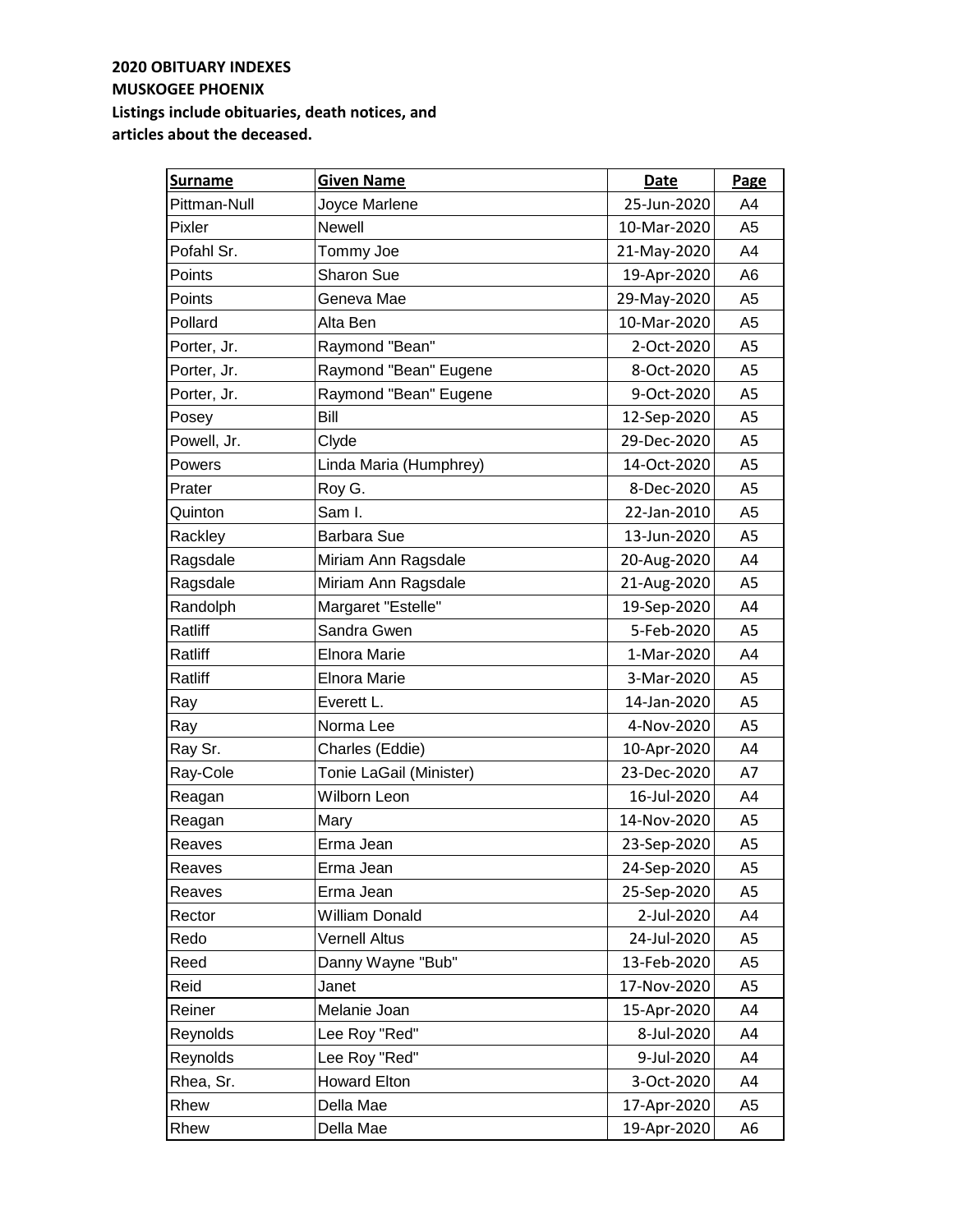| <b>Surname</b> | <b>Given Name</b>       | Date        | Page           |
|----------------|-------------------------|-------------|----------------|
| Pittman-Null   | Joyce Marlene           | 25-Jun-2020 | A4             |
| Pixler         | <b>Newell</b>           | 10-Mar-2020 | A <sub>5</sub> |
| Pofahl Sr.     | Tommy Joe               | 21-May-2020 | A4             |
| Points         | Sharon Sue              | 19-Apr-2020 | A6             |
| Points         | Geneva Mae              | 29-May-2020 | A <sub>5</sub> |
| Pollard        | Alta Ben                | 10-Mar-2020 | A <sub>5</sub> |
| Porter, Jr.    | Raymond "Bean"          | 2-Oct-2020  | A5             |
| Porter, Jr.    | Raymond "Bean" Eugene   | 8-Oct-2020  | A5             |
| Porter, Jr.    | Raymond "Bean" Eugene   | 9-Oct-2020  | A5             |
| Posey          | Bill                    | 12-Sep-2020 | A <sub>5</sub> |
| Powell, Jr.    | Clyde                   | 29-Dec-2020 | A <sub>5</sub> |
| Powers         | Linda Maria (Humphrey)  | 14-Oct-2020 | A <sub>5</sub> |
| Prater         | Roy G.                  | 8-Dec-2020  | A <sub>5</sub> |
| Quinton        | Sam I.                  | 22-Jan-2010 | A <sub>5</sub> |
| Rackley        | <b>Barbara Sue</b>      | 13-Jun-2020 | A <sub>5</sub> |
| Ragsdale       | Miriam Ann Ragsdale     | 20-Aug-2020 | A4             |
| Ragsdale       | Miriam Ann Ragsdale     | 21-Aug-2020 | A5             |
| Randolph       | Margaret "Estelle"      | 19-Sep-2020 | A4             |
| Ratliff        | Sandra Gwen             | 5-Feb-2020  | A5             |
| Ratliff        | <b>Elnora Marie</b>     | 1-Mar-2020  | A4             |
| Ratliff        | <b>Elnora Marie</b>     | 3-Mar-2020  | A5             |
| Ray            | Everett L.              | 14-Jan-2020 | A5             |
| Ray            | Norma Lee               | 4-Nov-2020  | A5             |
| Ray Sr.        | Charles (Eddie)         | 10-Apr-2020 | A4             |
| Ray-Cole       | Tonie LaGail (Minister) | 23-Dec-2020 | A7             |
| Reagan         | Wilborn Leon            | 16-Jul-2020 | A4             |
| Reagan         | Mary                    | 14-Nov-2020 | A <sub>5</sub> |
| Reaves         | Erma Jean               | 23-Sep-2020 | A5             |
| Reaves         | Erma Jean               | 24-Sep-2020 | A5             |
| Reaves         | Erma Jean               | 25-Sep-2020 | A5             |
| Rector         | William Donald          | 2-Jul-2020  | A4             |
| Redo           | <b>Vernell Altus</b>    | 24-Jul-2020 | A5             |
| Reed           | Danny Wayne "Bub"       | 13-Feb-2020 | A5             |
| Reid           | Janet                   | 17-Nov-2020 | A5             |
| Reiner         | Melanie Joan            | 15-Apr-2020 | A4             |
| Reynolds       | Lee Roy "Red"           | 8-Jul-2020  | A4             |
| Reynolds       | Lee Roy "Red"           | 9-Jul-2020  | A4             |
| Rhea, Sr.      | <b>Howard Elton</b>     | 3-Oct-2020  | A4             |
| Rhew           | Della Mae               | 17-Apr-2020 | A5             |
| Rhew           | Della Mae               | 19-Apr-2020 | A6             |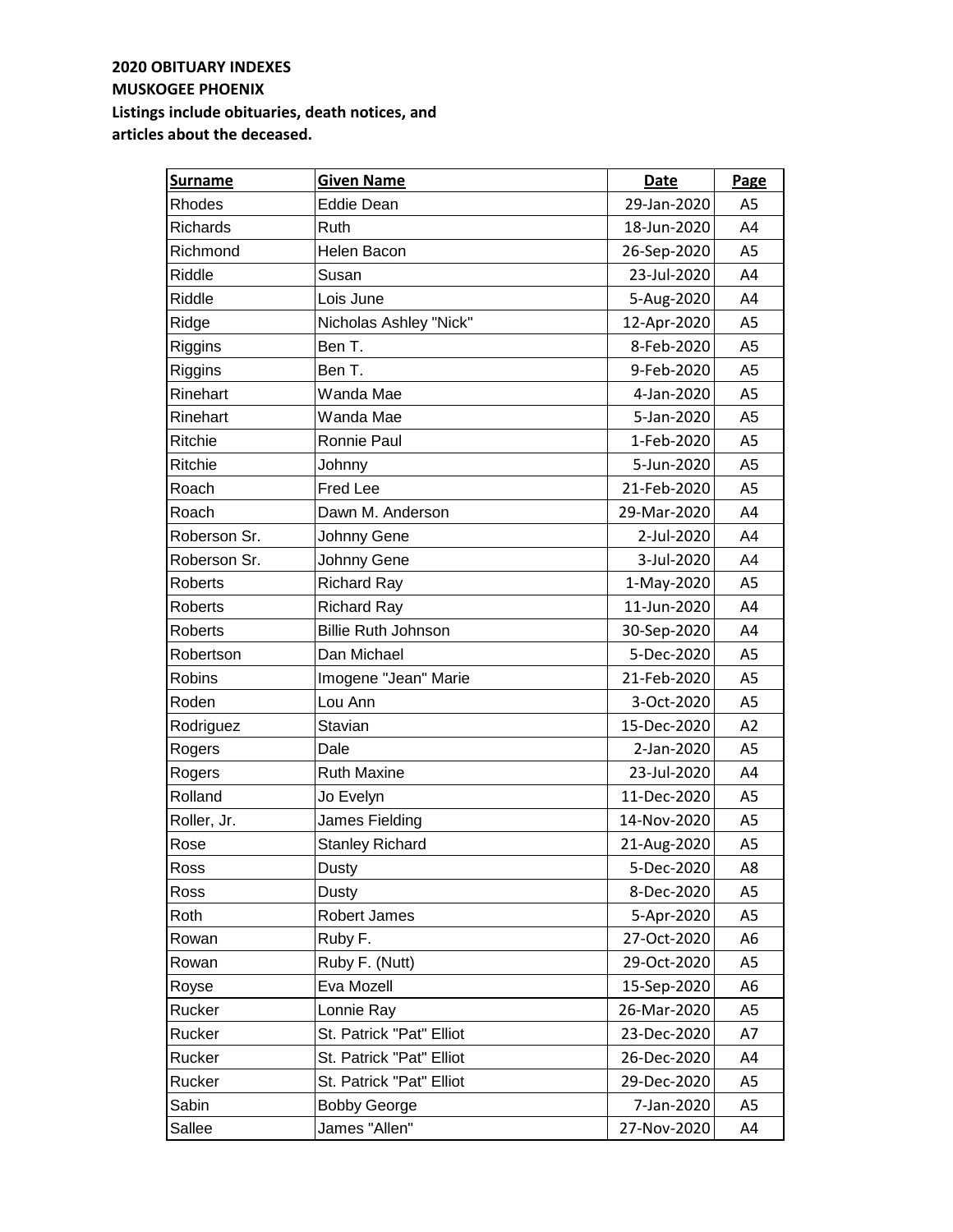| <b>Surname</b> | <b>Given Name</b>          | Date        | Page           |
|----------------|----------------------------|-------------|----------------|
| Rhodes         | <b>Eddie Dean</b>          | 29-Jan-2020 | A <sub>5</sub> |
| Richards       | Ruth                       | 18-Jun-2020 | A4             |
| Richmond       | <b>Helen Bacon</b>         | 26-Sep-2020 | A <sub>5</sub> |
| Riddle         | Susan                      | 23-Jul-2020 | A4             |
| Riddle         | Lois June                  | 5-Aug-2020  | A4             |
| Ridge          | Nicholas Ashley "Nick"     | 12-Apr-2020 | A <sub>5</sub> |
| Riggins        | Ben T.                     | 8-Feb-2020  | A <sub>5</sub> |
| Riggins        | Ben T.                     | 9-Feb-2020  | A <sub>5</sub> |
| Rinehart       | Wanda Mae                  | 4-Jan-2020  | A5             |
| Rinehart       | Wanda Mae                  | 5-Jan-2020  | A <sub>5</sub> |
| Ritchie        | Ronnie Paul                | 1-Feb-2020  | A5             |
| Ritchie        | Johnny                     | 5-Jun-2020  | A <sub>5</sub> |
| Roach          | Fred Lee                   | 21-Feb-2020 | A <sub>5</sub> |
| Roach          | Dawn M. Anderson           | 29-Mar-2020 | A4             |
| Roberson Sr.   | Johnny Gene                | 2-Jul-2020  | A4             |
| Roberson Sr.   | Johnny Gene                | 3-Jul-2020  | A4             |
| <b>Roberts</b> | <b>Richard Ray</b>         | 1-May-2020  | A <sub>5</sub> |
| Roberts        | <b>Richard Ray</b>         | 11-Jun-2020 | A4             |
| Roberts        | <b>Billie Ruth Johnson</b> | 30-Sep-2020 | A4             |
| Robertson      | Dan Michael                | 5-Dec-2020  | A <sub>5</sub> |
| Robins         | Imogene "Jean" Marie       | 21-Feb-2020 | A <sub>5</sub> |
| Roden          | Lou Ann                    | 3-Oct-2020  | A5             |
| Rodriguez      | Stavian                    | 15-Dec-2020 | A2             |
| Rogers         | Dale                       | 2-Jan-2020  | A5             |
| Rogers         | <b>Ruth Maxine</b>         | 23-Jul-2020 | A4             |
| Rolland        | Jo Evelyn                  | 11-Dec-2020 | A <sub>5</sub> |
| Roller, Jr.    | James Fielding             | 14-Nov-2020 | A <sub>5</sub> |
| Rose           | <b>Stanley Richard</b>     | 21-Aug-2020 | A <sub>5</sub> |
| Ross           | Dusty                      | 5-Dec-2020  | A8             |
| Ross           | Dusty                      | 8-Dec-2020  | A5             |
| Roth           | Robert James               | 5-Apr-2020  | A5             |
| Rowan          | Ruby F.                    | 27-Oct-2020 | A6             |
| Rowan          | Ruby F. (Nutt)             | 29-Oct-2020 | A5             |
| Royse          | Eva Mozell                 | 15-Sep-2020 | A6             |
| Rucker         | Lonnie Ray                 | 26-Mar-2020 | A <sub>5</sub> |
| Rucker         | St. Patrick "Pat" Elliot   | 23-Dec-2020 | A7             |
| Rucker         | St. Patrick "Pat" Elliot   | 26-Dec-2020 | A4             |
| Rucker         | St. Patrick "Pat" Elliot   | 29-Dec-2020 | A5             |
| Sabin          | <b>Bobby George</b>        | 7-Jan-2020  | A5             |
| Sallee         | James "Allen"              | 27-Nov-2020 | A4             |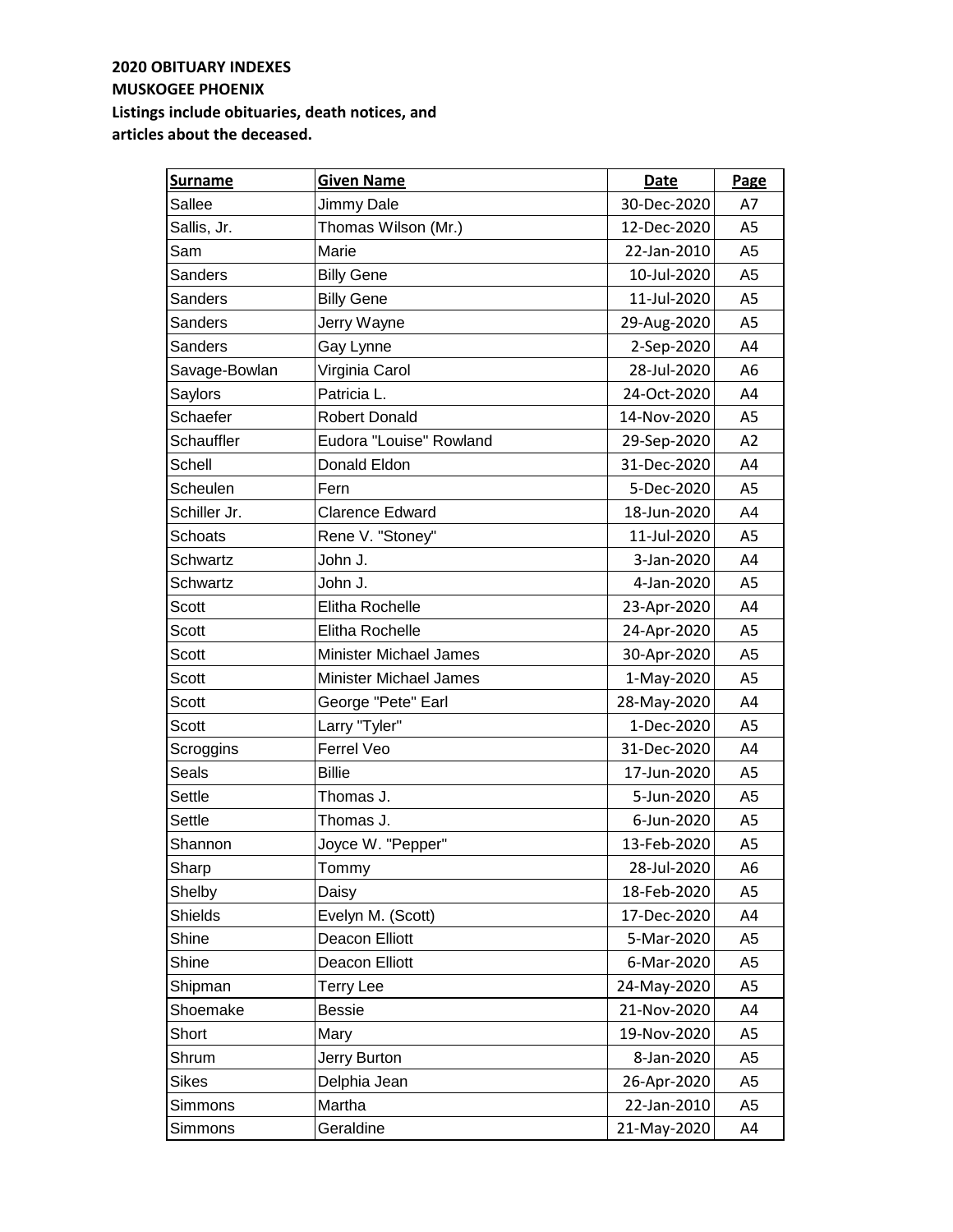| <b>Surname</b>    | <b>Given Name</b>             | Date        | Page           |
|-------------------|-------------------------------|-------------|----------------|
| Sallee            | Jimmy Dale                    | 30-Dec-2020 | A7             |
| Sallis, Jr.       | Thomas Wilson (Mr.)           | 12-Dec-2020 | A <sub>5</sub> |
| Sam               | Marie                         | 22-Jan-2010 | A <sub>5</sub> |
| Sanders           | <b>Billy Gene</b>             | 10-Jul-2020 | A <sub>5</sub> |
| Sanders           | <b>Billy Gene</b>             | 11-Jul-2020 | A <sub>5</sub> |
| Sanders           | Jerry Wayne                   | 29-Aug-2020 | A <sub>5</sub> |
| Sanders           | Gay Lynne                     | 2-Sep-2020  | A4             |
| Savage-Bowlan     | Virginia Carol                | 28-Jul-2020 | A6             |
| Saylors           | Patricia L.                   | 24-Oct-2020 | A4             |
| Schaefer          | <b>Robert Donald</b>          | 14-Nov-2020 | A5             |
| <b>Schauffler</b> | Eudora "Louise" Rowland       | 29-Sep-2020 | A2             |
| Schell            | Donald Eldon                  | 31-Dec-2020 | A4             |
| Scheulen          | Fern                          | 5-Dec-2020  | A <sub>5</sub> |
| Schiller Jr.      | <b>Clarence Edward</b>        | 18-Jun-2020 | A4             |
| Schoats           | Rene V. "Stoney"              | 11-Jul-2020 | A <sub>5</sub> |
| <b>Schwartz</b>   | John J.                       | 3-Jan-2020  | A4             |
| Schwartz          | John J.                       | 4-Jan-2020  | A <sub>5</sub> |
| Scott             | Elitha Rochelle               | 23-Apr-2020 | A4             |
| Scott             | Elitha Rochelle               | 24-Apr-2020 | A <sub>5</sub> |
| Scott             | <b>Minister Michael James</b> | 30-Apr-2020 | A <sub>5</sub> |
| Scott             | <b>Minister Michael James</b> | 1-May-2020  | A5             |
| <b>Scott</b>      | George "Pete" Earl            | 28-May-2020 | A4             |
| Scott             | Larry "Tyler"                 | 1-Dec-2020  | A5             |
| Scroggins         | Ferrel Veo                    | 31-Dec-2020 | A4             |
| Seals             | <b>Billie</b>                 | 17-Jun-2020 | A <sub>5</sub> |
| Settle            | Thomas J.                     | 5-Jun-2020  | A <sub>5</sub> |
| Settle            | Thomas J.                     | 6-Jun-2020  | A <sub>5</sub> |
| Shannon           | Joyce W. "Pepper"             | 13-Feb-2020 | A <sub>5</sub> |
| Sharp             | Tommy                         | 28-Jul-2020 | A6             |
| Shelby            | Daisy                         | 18-Feb-2020 | A5             |
| Shields           | Evelyn M. (Scott)             | 17-Dec-2020 | A4             |
| Shine             | Deacon Elliott                | 5-Mar-2020  | A5             |
| Shine             | Deacon Elliott                | 6-Mar-2020  | A <sub>5</sub> |
| Shipman           | <b>Terry Lee</b>              | 24-May-2020 | A5             |
| Shoemake          | <b>Bessie</b>                 | 21-Nov-2020 | A4             |
| Short             | Mary                          | 19-Nov-2020 | A5             |
| Shrum             | Jerry Burton                  | 8-Jan-2020  | A5             |
| <b>Sikes</b>      | Delphia Jean                  | 26-Apr-2020 | A5             |
| Simmons           | Martha                        | 22-Jan-2010 | A <sub>5</sub> |
| Simmons           | Geraldine                     | 21-May-2020 | A4             |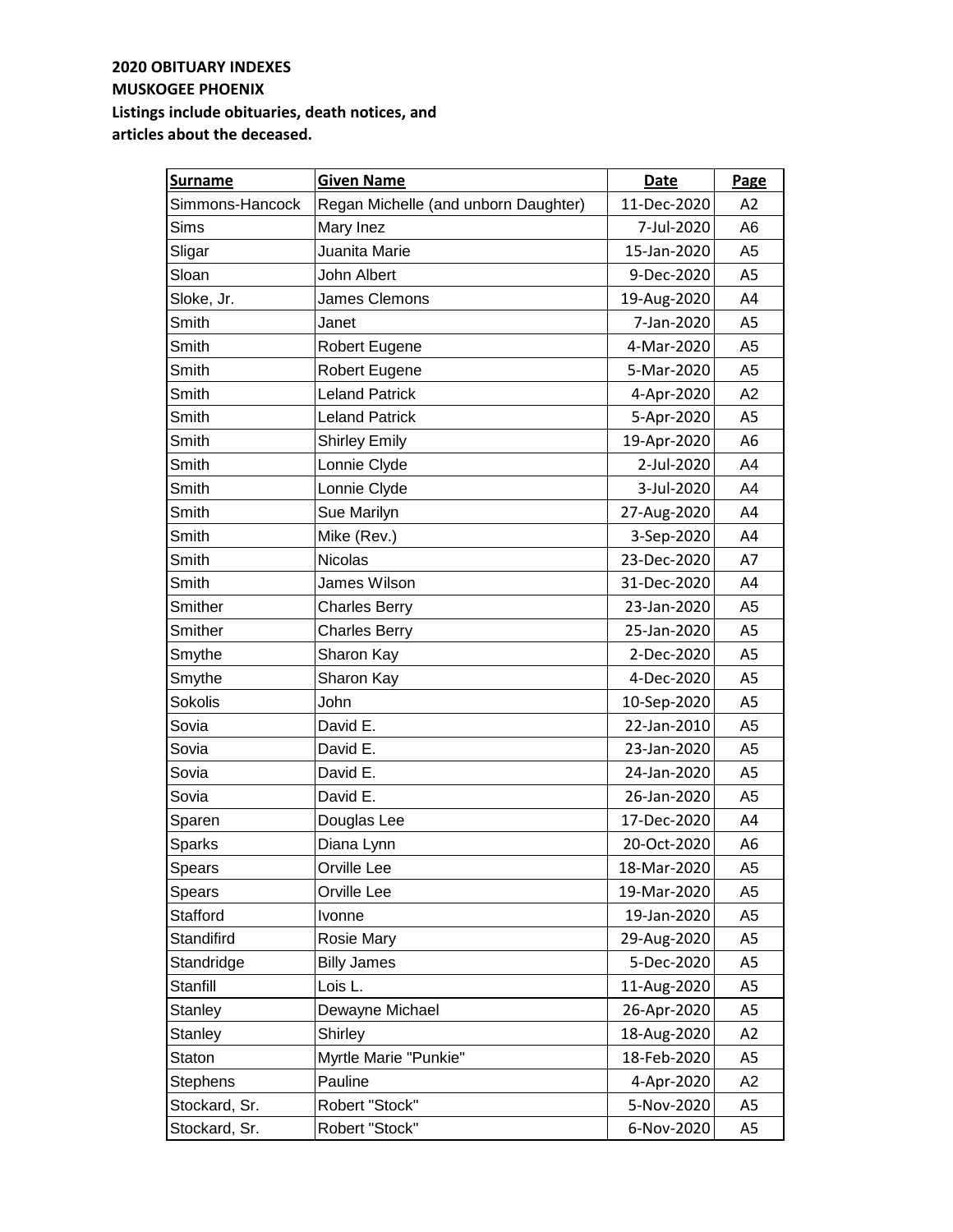| <b>Surname</b>  | <b>Given Name</b>                    | <b>Date</b> | Page           |
|-----------------|--------------------------------------|-------------|----------------|
| Simmons-Hancock | Regan Michelle (and unborn Daughter) | 11-Dec-2020 | A <sub>2</sub> |
| Sims            | Mary Inez                            | 7-Jul-2020  | A <sub>6</sub> |
| Sligar          | Juanita Marie                        | 15-Jan-2020 | A <sub>5</sub> |
| Sloan           | John Albert                          | 9-Dec-2020  | A <sub>5</sub> |
| Sloke, Jr.      | James Clemons                        | 19-Aug-2020 | A4             |
| Smith           | Janet                                | 7-Jan-2020  | A <sub>5</sub> |
| Smith           | Robert Eugene                        | 4-Mar-2020  | A <sub>5</sub> |
| Smith           | Robert Eugene                        | 5-Mar-2020  | A <sub>5</sub> |
| Smith           | <b>Leland Patrick</b>                | 4-Apr-2020  | A2             |
| Smith           | <b>Leland Patrick</b>                | 5-Apr-2020  | A <sub>5</sub> |
| Smith           | <b>Shirley Emily</b>                 | 19-Apr-2020 | A <sub>6</sub> |
| Smith           | Lonnie Clyde                         | 2-Jul-2020  | A4             |
| Smith           | Lonnie Clyde                         | 3-Jul-2020  | A4             |
| Smith           | Sue Marilyn                          | 27-Aug-2020 | A4             |
| Smith           | Mike (Rev.)                          | 3-Sep-2020  | A4             |
| Smith           | <b>Nicolas</b>                       | 23-Dec-2020 | A7             |
| Smith           | James Wilson                         | 31-Dec-2020 | A4             |
| Smither         | <b>Charles Berry</b>                 | 23-Jan-2020 | A5             |
| Smither         | <b>Charles Berry</b>                 | 25-Jan-2020 | A <sub>5</sub> |
| Smythe          | Sharon Kay                           | 2-Dec-2020  | A <sub>5</sub> |
| Smythe          | Sharon Kay                           | 4-Dec-2020  | A <sub>5</sub> |
| Sokolis         | John                                 | 10-Sep-2020 | A <sub>5</sub> |
| Sovia           | David E.                             | 22-Jan-2010 | A <sub>5</sub> |
| Sovia           | David E.                             | 23-Jan-2020 | A <sub>5</sub> |
| Sovia           | David E.                             | 24-Jan-2020 | A <sub>5</sub> |
| Sovia           | David E.                             | 26-Jan-2020 | A <sub>5</sub> |
| Sparen          | Douglas Lee                          | 17-Dec-2020 | A4             |
| <b>Sparks</b>   | Diana Lynn                           | 20-Oct-2020 | A6             |
| Spears          | Orville Lee                          | 18-Mar-2020 | A <sub>5</sub> |
| Spears          | Orville Lee                          | 19-Mar-2020 | A5             |
| Stafford        | Ivonne                               | 19-Jan-2020 | A5             |
| Standifird      | Rosie Mary                           | 29-Aug-2020 | A5             |
| Standridge      | <b>Billy James</b>                   | 5-Dec-2020  | A5             |
| Stanfill        | Lois L.                              | 11-Aug-2020 | A5             |
| Stanley         | Dewayne Michael                      | 26-Apr-2020 | A5             |
| Stanley         | <b>Shirley</b>                       | 18-Aug-2020 | A2             |
| Staton          | Myrtle Marie "Punkie"                | 18-Feb-2020 | A <sub>5</sub> |
| <b>Stephens</b> | Pauline                              | 4-Apr-2020  | A <sub>2</sub> |
| Stockard, Sr.   | Robert "Stock"                       | 5-Nov-2020  | A5             |
| Stockard, Sr.   | Robert "Stock"                       | 6-Nov-2020  | A <sub>5</sub> |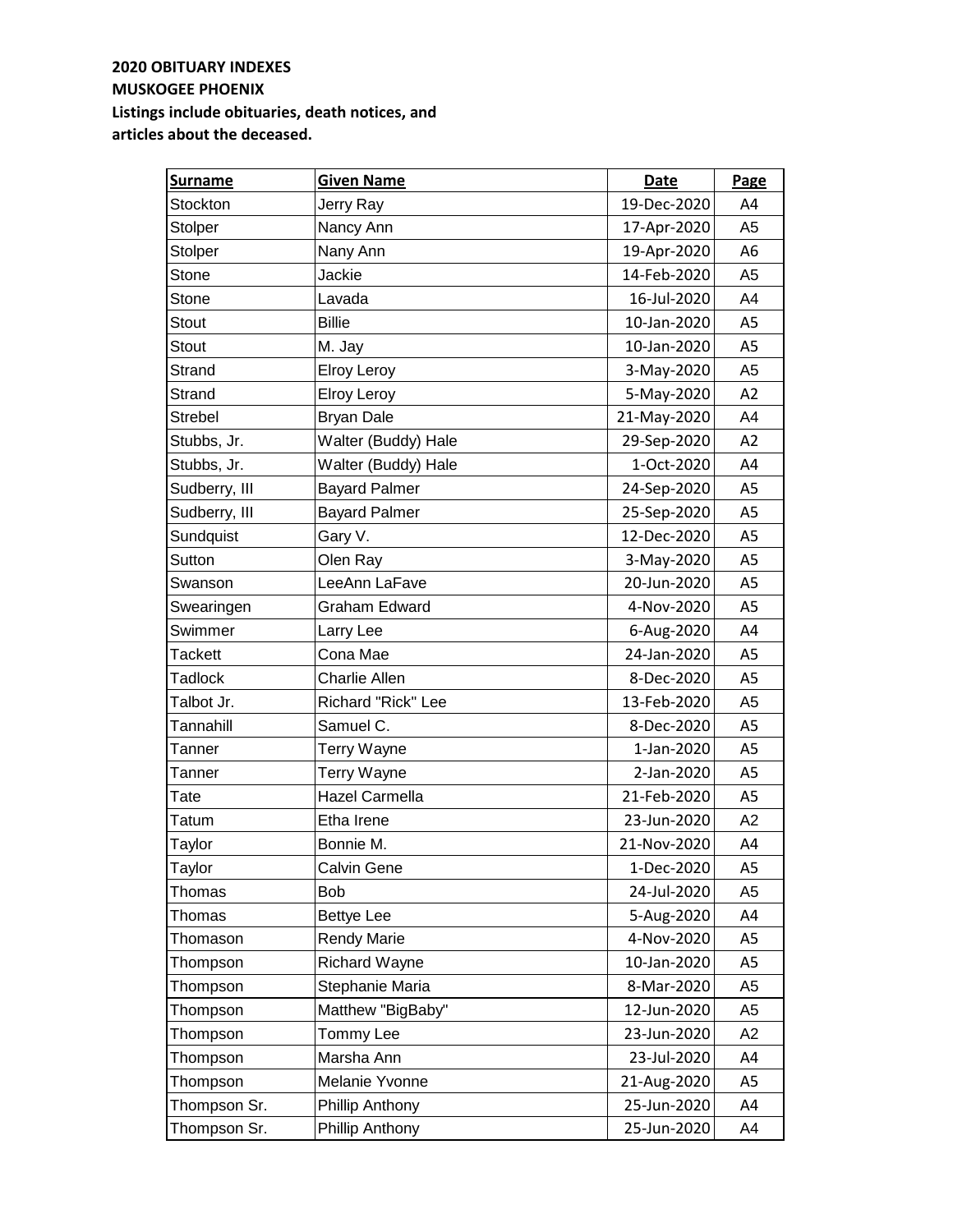| <b>Surname</b> | <b>Given Name</b>     | Date        | Page           |
|----------------|-----------------------|-------------|----------------|
| Stockton       | Jerry Ray             | 19-Dec-2020 | A4             |
| Stolper        | Nancy Ann             | 17-Apr-2020 | A5             |
| Stolper        | Nany Ann              | 19-Apr-2020 | A6             |
| Stone          | Jackie                | 14-Feb-2020 | A5             |
| Stone          | Lavada                | 16-Jul-2020 | A4             |
| Stout          | <b>Billie</b>         | 10-Jan-2020 | A5             |
| Stout          | M. Jay                | 10-Jan-2020 | A5             |
| Strand         | <b>Elroy Leroy</b>    | 3-May-2020  | A <sub>5</sub> |
| Strand         | <b>Elroy Leroy</b>    | 5-May-2020  | A2             |
| Strebel        | <b>Bryan Dale</b>     | 21-May-2020 | A4             |
| Stubbs, Jr.    | Walter (Buddy) Hale   | 29-Sep-2020 | A2             |
| Stubbs, Jr.    | Walter (Buddy) Hale   | 1-Oct-2020  | A4             |
| Sudberry, III  | <b>Bayard Palmer</b>  | 24-Sep-2020 | A <sub>5</sub> |
| Sudberry, III  | <b>Bayard Palmer</b>  | 25-Sep-2020 | A <sub>5</sub> |
| Sundquist      | Gary V.               | 12-Dec-2020 | A <sub>5</sub> |
| Sutton         | Olen Ray              | 3-May-2020  | A <sub>5</sub> |
| Swanson        | LeeAnn LaFave         | 20-Jun-2020 | A5             |
| Swearingen     | Graham Edward         | 4-Nov-2020  | A5             |
| Swimmer        | Larry Lee             | 6-Aug-2020  | A4             |
| <b>Tackett</b> | Cona Mae              | 24-Jan-2020 | A5             |
| <b>Tadlock</b> | Charlie Allen         | 8-Dec-2020  | A <sub>5</sub> |
| Talbot Jr.     | Richard "Rick" Lee    | 13-Feb-2020 | A <sub>5</sub> |
| Tannahill      | Samuel C.             | 8-Dec-2020  | A <sub>5</sub> |
| Tanner         | Terry Wayne           | 1-Jan-2020  | A <sub>5</sub> |
| Tanner         | Terry Wayne           | 2-Jan-2020  | A <sub>5</sub> |
| Tate           | <b>Hazel Carmella</b> | 21-Feb-2020 | A <sub>5</sub> |
| Tatum          | Etha Irene            | 23-Jun-2020 | A2             |
| Taylor         | Bonnie M.             | 21-Nov-2020 | A4             |
| Taylor         | Calvin Gene           | 1-Dec-2020  | A5             |
| Thomas         | Bob                   | 24-Jul-2020 | A5             |
| Thomas         | <b>Bettye Lee</b>     | 5-Aug-2020  | A4             |
| Thomason       | <b>Rendy Marie</b>    | 4-Nov-2020  | A5             |
| Thompson       | <b>Richard Wayne</b>  | 10-Jan-2020 | A5             |
| Thompson       | Stephanie Maria       | 8-Mar-2020  | A5             |
| Thompson       | Matthew "BigBaby"     | 12-Jun-2020 | A5             |
| Thompson       | Tommy Lee             | 23-Jun-2020 | A <sub>2</sub> |
| Thompson       | Marsha Ann            | 23-Jul-2020 | A4             |
| Thompson       | Melanie Yvonne        | 21-Aug-2020 | A5             |
| Thompson Sr.   | Phillip Anthony       | 25-Jun-2020 | A4             |
| Thompson Sr.   | Phillip Anthony       | 25-Jun-2020 | A4             |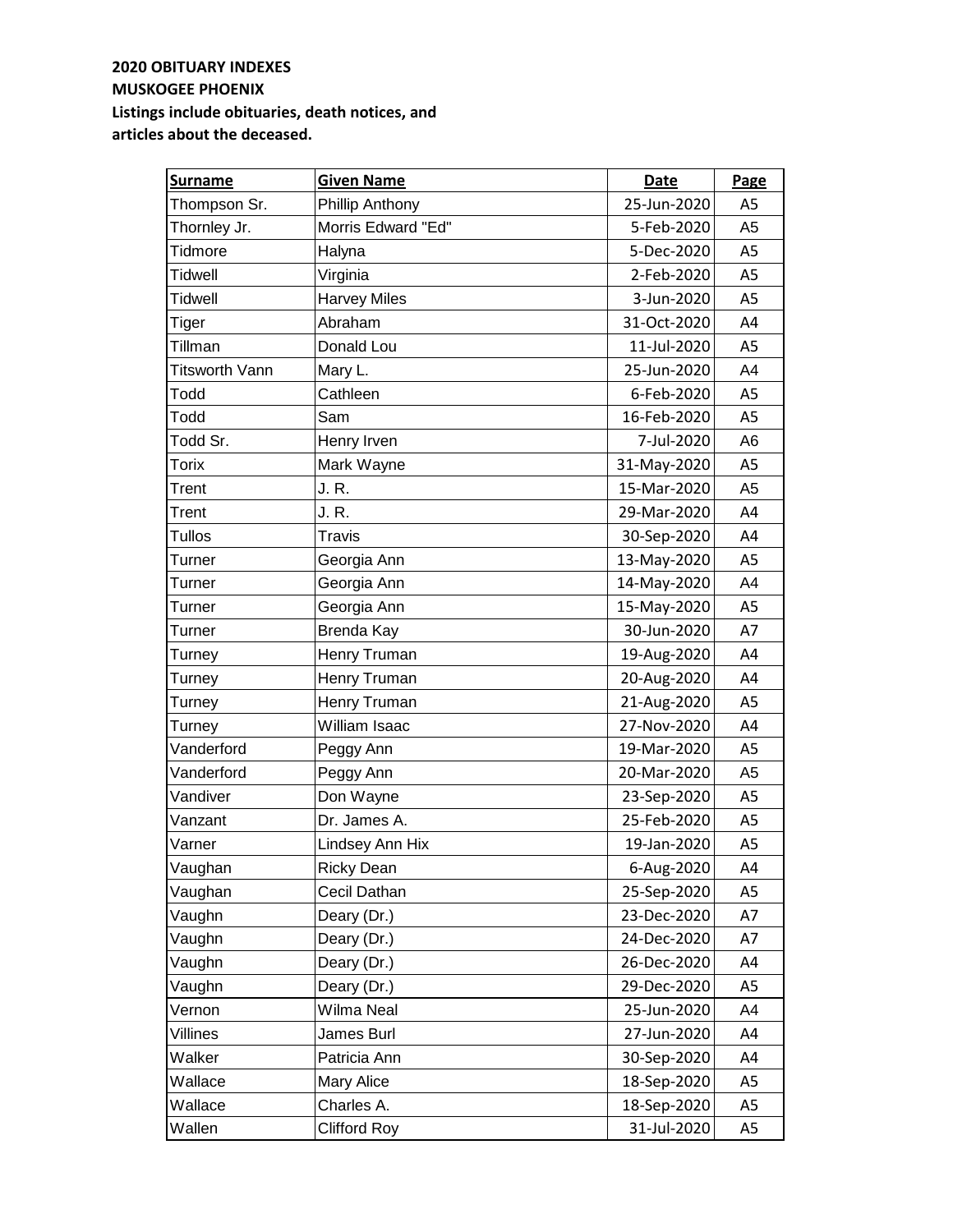| <b>Surname</b>        | <b>Given Name</b>   | Date        | Page           |
|-----------------------|---------------------|-------------|----------------|
| Thompson Sr.          | Phillip Anthony     | 25-Jun-2020 | A <sub>5</sub> |
| Thornley Jr.          | Morris Edward "Ed"  | 5-Feb-2020  | A5             |
| Tidmore               | Halyna              | 5-Dec-2020  | A5             |
| <b>Tidwell</b>        | Virginia            | 2-Feb-2020  | A <sub>5</sub> |
| <b>Tidwell</b>        | <b>Harvey Miles</b> | 3-Jun-2020  | A5             |
| <b>Tiger</b>          | Abraham             | 31-Oct-2020 | A4             |
| Tillman               | Donald Lou          | 11-Jul-2020 | A5             |
| <b>Titsworth Vann</b> | Mary L.             | 25-Jun-2020 | A4             |
| Todd                  | Cathleen            | 6-Feb-2020  | A5             |
| Todd                  | Sam                 | 16-Feb-2020 | A5             |
| Todd Sr.              | Henry Irven         | 7-Jul-2020  | A <sub>6</sub> |
| <b>Torix</b>          | Mark Wayne          | 31-May-2020 | A <sub>5</sub> |
| Trent                 | J. R.               | 15-Mar-2020 | A <sub>5</sub> |
| Trent                 | J. R.               | 29-Mar-2020 | A4             |
| <b>Tullos</b>         | Travis              | 30-Sep-2020 | A4             |
| Turner                | Georgia Ann         | 13-May-2020 | A5             |
| Turner                | Georgia Ann         | 14-May-2020 | A4             |
| Turner                | Georgia Ann         | 15-May-2020 | A5             |
| Turner                | Brenda Kay          | 30-Jun-2020 | A7             |
| Turney                | Henry Truman        | 19-Aug-2020 | A4             |
| Turney                | Henry Truman        | 20-Aug-2020 | A4             |
| Turney                | Henry Truman        | 21-Aug-2020 | A <sub>5</sub> |
| Turney                | William Isaac       | 27-Nov-2020 | A4             |
| Vanderford            | Peggy Ann           | 19-Mar-2020 | A <sub>5</sub> |
| Vanderford            | Peggy Ann           | 20-Mar-2020 | A <sub>5</sub> |
| Vandiver              | Don Wayne           | 23-Sep-2020 | A <sub>5</sub> |
| Vanzant               | Dr. James A.        | 25-Feb-2020 | A <sub>5</sub> |
| Varner                | Lindsey Ann Hix     | 19-Jan-2020 | A5             |
| Vaughan               | <b>Ricky Dean</b>   | 6-Aug-2020  | A4             |
| Vaughan               | Cecil Dathan        | 25-Sep-2020 | A5             |
| Vaughn                | Deary (Dr.)         | 23-Dec-2020 | A7             |
| Vaughn                | Deary (Dr.)         | 24-Dec-2020 | A7             |
| Vaughn                | Deary (Dr.)         | 26-Dec-2020 | A4             |
| Vaughn                | Deary (Dr.)         | 29-Dec-2020 | A5             |
| Vernon                | Wilma Neal          | 25-Jun-2020 | A4             |
| Villines              | James Burl          | 27-Jun-2020 | A4             |
| Walker                | Patricia Ann        | 30-Sep-2020 | A4             |
| Wallace               | <b>Mary Alice</b>   | 18-Sep-2020 | A5             |
| Wallace               | Charles A.          | 18-Sep-2020 | A5             |
| Wallen                | <b>Clifford Roy</b> | 31-Jul-2020 | A <sub>5</sub> |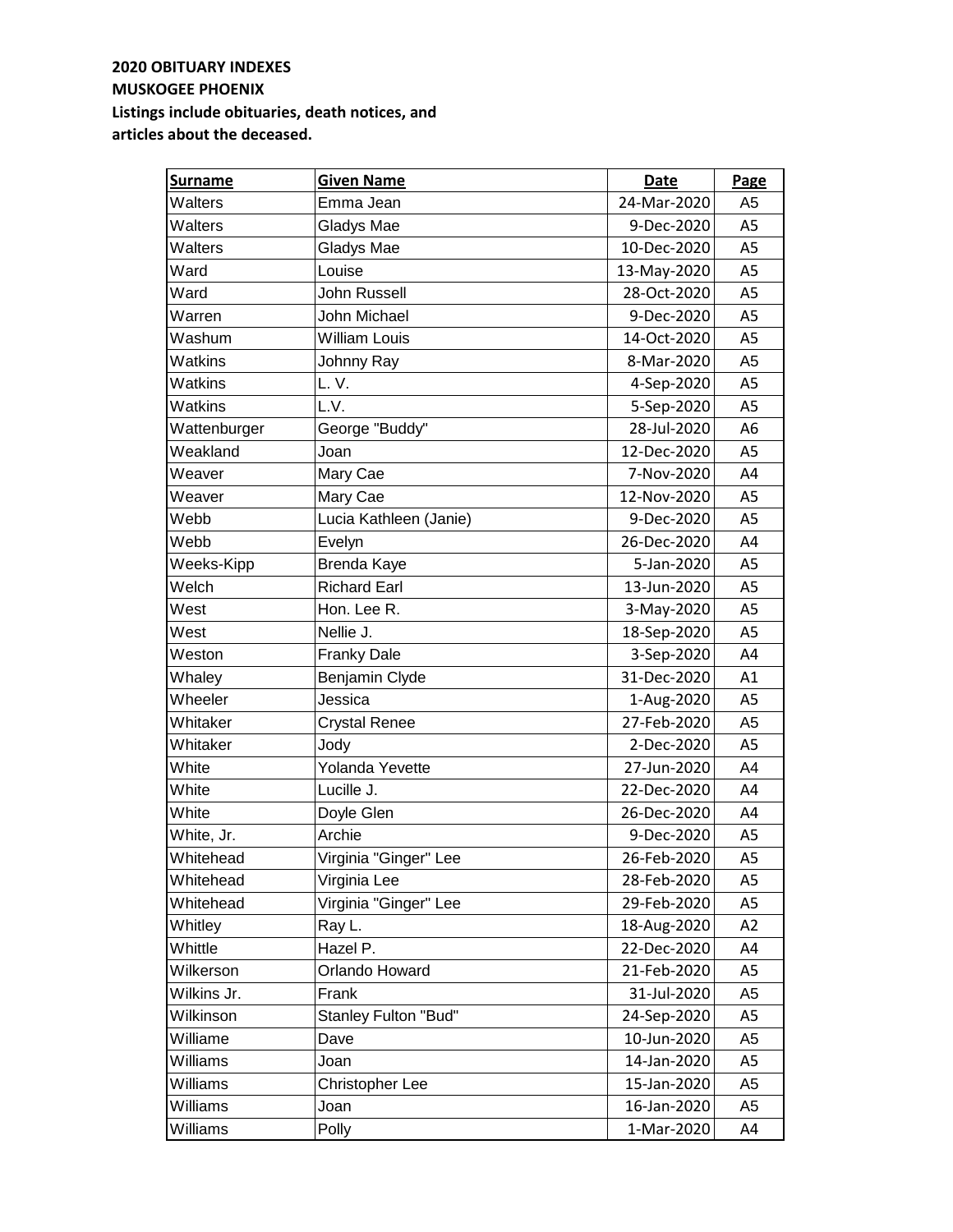| <b>Surname</b> | <b>Given Name</b>           | Date        | Page           |
|----------------|-----------------------------|-------------|----------------|
| Walters        | Emma Jean                   | 24-Mar-2020 | A <sub>5</sub> |
| Walters        | Gladys Mae                  | 9-Dec-2020  | A <sub>5</sub> |
| Walters        | Gladys Mae                  | 10-Dec-2020 | A <sub>5</sub> |
| Ward           | Louise                      | 13-May-2020 | A <sub>5</sub> |
| Ward           | <b>John Russell</b>         | 28-Oct-2020 | A <sub>5</sub> |
| Warren         | John Michael                | 9-Dec-2020  | A <sub>5</sub> |
| Washum         | <b>William Louis</b>        | 14-Oct-2020 | A5             |
| Watkins        | Johnny Ray                  | 8-Mar-2020  | A <sub>5</sub> |
| Watkins        | L.V.                        | 4-Sep-2020  | A <sub>5</sub> |
| Watkins        | L.V.                        | 5-Sep-2020  | A <sub>5</sub> |
| Wattenburger   | George "Buddy"              | 28-Jul-2020 | A <sub>6</sub> |
| Weakland       | Joan                        | 12-Dec-2020 | A <sub>5</sub> |
| Weaver         | Mary Cae                    | 7-Nov-2020  | A4             |
| Weaver         | Mary Cae                    | 12-Nov-2020 | A <sub>5</sub> |
| Webb           | Lucia Kathleen (Janie)      | 9-Dec-2020  | A <sub>5</sub> |
| Webb           | Evelyn                      | 26-Dec-2020 | A4             |
| Weeks-Kipp     | Brenda Kaye                 | 5-Jan-2020  | A <sub>5</sub> |
| Welch          | <b>Richard Earl</b>         | 13-Jun-2020 | A <sub>5</sub> |
| West           | Hon. Lee R.                 | 3-May-2020  | A <sub>5</sub> |
| West           | Nellie J.                   | 18-Sep-2020 | A <sub>5</sub> |
| Weston         | <b>Franky Dale</b>          | 3-Sep-2020  | A4             |
| Whaley         | Benjamin Clyde              | 31-Dec-2020 | A1             |
| Wheeler        | Jessica                     | 1-Aug-2020  | A <sub>5</sub> |
| Whitaker       | <b>Crystal Renee</b>        | 27-Feb-2020 | A <sub>5</sub> |
| Whitaker       | Jody                        | 2-Dec-2020  | A <sub>5</sub> |
| White          | Yolanda Yevette             | 27-Jun-2020 | A4             |
| White          | Lucille J.                  | 22-Dec-2020 | A4             |
| White          | Doyle Glen                  | 26-Dec-2020 | A4             |
| White, Jr.     | Archie                      | 9-Dec-2020  | A <sub>5</sub> |
| Whitehead      | Virginia "Ginger" Lee       | 26-Feb-2020 | A5             |
| Whitehead      | Virginia Lee                | 28-Feb-2020 | A5             |
| Whitehead      | Virginia "Ginger" Lee       | 29-Feb-2020 | A5             |
| Whitley        | Ray L.                      | 18-Aug-2020 | A <sub>2</sub> |
| Whittle        | Hazel P.                    | 22-Dec-2020 | A4             |
| Wilkerson      | Orlando Howard              | 21-Feb-2020 | A5             |
| Wilkins Jr.    | Frank                       | 31-Jul-2020 | A <sub>5</sub> |
| Wilkinson      | <b>Stanley Fulton "Bud"</b> | 24-Sep-2020 | A5             |
| Williame       | Dave                        | 10-Jun-2020 | A5             |
| Williams       | Joan                        | 14-Jan-2020 | A5             |
| Williams       | Christopher Lee             | 15-Jan-2020 | A5             |
| Williams       | Joan                        | 16-Jan-2020 | A <sub>5</sub> |
| Williams       | Polly                       | 1-Mar-2020  | A4             |